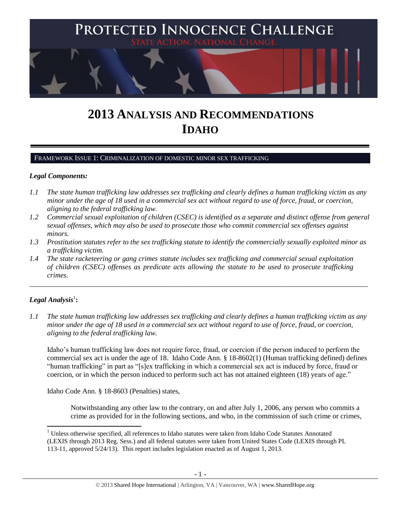

# **2013 ANALYSIS AND RECOMMENDATIONS IDAHO**

#### FRAMEWORK ISSUE 1: CRIMINALIZATION OF DOMESTIC MINOR SEX TRAFFICKING

#### *Legal Components:*

- *1.1 The state human trafficking law addresses sex trafficking and clearly defines a human trafficking victim as any minor under the age of 18 used in a commercial sex act without regard to use of force, fraud, or coercion, aligning to the federal trafficking law.*
- *1.2 Commercial sexual exploitation of children (CSEC) is identified as a separate and distinct offense from general sexual offenses, which may also be used to prosecute those who commit commercial sex offenses against minors.*
- *1.3 Prostitution statutes refer to the sex trafficking statute to identify the commercially sexually exploited minor as a trafficking victim.*

\_\_\_\_\_\_\_\_\_\_\_\_\_\_\_\_\_\_\_\_\_\_\_\_\_\_\_\_\_\_\_\_\_\_\_\_\_\_\_\_\_\_\_\_\_\_\_\_\_\_\_\_\_\_\_\_\_\_\_\_\_\_\_\_\_\_\_\_\_\_\_\_\_\_\_\_\_\_\_\_\_\_\_\_\_\_\_\_\_\_\_\_\_\_

*1.4 The state racketeering or gang crimes statute includes sex trafficking and commercial sexual exploitation of children (CSEC) offenses as predicate acts allowing the statute to be used to prosecute trafficking crimes.* 

# $\boldsymbol{Legal}$  Analysis $^1$ :

l

*1.1 The state human trafficking law addresses sex trafficking and clearly defines a human trafficking victim as any minor under the age of 18 used in a commercial sex act without regard to use of force, fraud, or coercion, aligning to the federal trafficking law.*

Idaho's human trafficking law does not require force, fraud, or coercion if the person induced to perform the commercial sex act is under the age of 18. Idaho Code Ann. § 18-8602(1) (Human trafficking defined) defines "human trafficking" in part as "[s]ex trafficking in which a commercial sex act is induced by force, fraud or coercion, or in which the person induced to perform such act has not attained eighteen (18) years of age."

Idaho Code Ann. § 18-8603 (Penalties) states,

Notwithstanding any other law to the contrary, on and after July 1, 2006, any person who commits a crime as provided for in the following sections, and who, in the commission of such crime or crimes,

 $1$  Unless otherwise specified, all references to Idaho statutes were taken from Idaho Code Statutes Annotated (LEXIS through 2013 Reg. Sess.) and all federal statutes were taken from United States Code (LEXIS through PL 113-11, approved 5/24/13). This report includes legislation enacted as of August 1, 2013.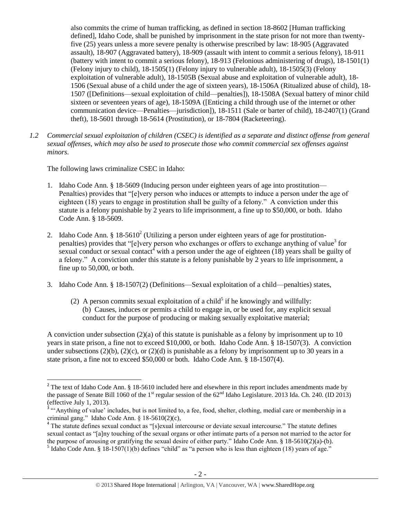also commits the crime of human trafficking, as defined in section 18-8602 [Human trafficking defined], Idaho Code, shall be punished by imprisonment in the state prison for not more than twentyfive (25) years unless a more severe penalty is otherwise prescribed by law: 18-905 (Aggravated assault), 18-907 (Aggravated battery), 18-909 (assault with intent to commit a serious felony), 18-911 (battery with intent to commit a serious felony), 18-913 (Felonious administering of drugs), 18-1501(1) (Felony injury to child), 18-1505(1) (Felony injury to vulnerable adult), 18-1505(3) (Felony exploitation of vulnerable adult), 18-1505B (Sexual abuse and exploitation of vulnerable adult), 18- 1506 (Sexual abuse of a child under the age of sixteen years), 18-1506A (Ritualized abuse of child), 18- 1507 ([Definitions—sexual exploitation of child—penalties]), 18-1508A (Sexual battery of minor child sixteen or seventeen years of age), 18-1509A ([Enticing a child through use of the internet or other communication device—Penalties—jurisdiction]), 18-1511 (Sale or barter of child), 18-2407(1) (Grand theft), 18-5601 through 18-5614 (Prostitution), or 18-7804 (Racketeering).

*1.2 Commercial sexual exploitation of children (CSEC) is identified as a separate and distinct offense from general sexual offenses, which may also be used to prosecute those who commit commercial sex offenses against minors.*

The following laws criminalize CSEC in Idaho:

 $\overline{\phantom{a}}$ 

- 1. Idaho Code Ann. § 18-5609 (Inducing person under eighteen years of age into prostitution— Penalties) provides that "[e]very person who induces or attempts to induce a person under the age of eighteen (18) years to engage in prostitution shall be guilty of a felony." A conviction under this statute is a felony punishable by 2 years to life imprisonment, a fine up to \$50,000, or both. Idaho Code Ann. § 18-5609.
- <span id="page-1-0"></span>2. Idaho Code Ann. § 18-5610<sup>2</sup> (Utilizing a person under eighteen years of age for prostitutionpenalties) provides that "[e]very person who exchanges or offers to exchange anything of value<sup>3</sup> for sexual conduct or sexual contact<sup>4</sup> with a person under the age of eighteen  $(18)$  years shall be guilty of a felony." A conviction under this statute is a felony punishable by 2 years to life imprisonment, a fine up to 50,000, or both.
- <span id="page-1-1"></span>3. Idaho Code Ann. § 18-1507(2) (Definitions—Sexual exploitation of a child—penalties) states,
	- (2) A person commits sexual exploitation of a child<sup>5</sup> if he knowingly and willfully: (b) Causes, induces or permits a child to engage in, or be used for, any explicit sexual conduct for the purpose of producing or making sexually exploitative material;

A conviction under subsection  $(2)(a)$  of this statute is punishable as a felony by imprisonment up to 10 years in state prison, a fine not to exceed \$10,000, or both. Idaho Code Ann. § 18-1507(3). A conviction under subsections (2)(b), (2)(c), or (2)(d) is punishable as a felony by imprisonment up to 30 years in a state prison, a fine not to exceed \$50,000 or both. Idaho Code Ann. § 18-1507(4).

<sup>&</sup>lt;sup>2</sup> The text of Idaho Code Ann. § 18-5610 included here and elsewhere in this report includes amendments made by the passage of Senate Bill 1060 of the 1<sup>st</sup> regular session of the  $62<sup>nd</sup>$  Idaho Legislature. 2013 Ida. Ch. 240. (ID 2013) (effective July 1, 2013).

<sup>&</sup>lt;sup>3</sup> "'Anything of value' includes, but is not limited to, a fee, food, shelter, clothing, medial care or membership in a criminal gang." Idaho Code Ann. § 18-5610(2)(c),

<sup>&</sup>lt;sup>4</sup> The statute defines sexual conduct as "[s]exual intercourse or deviate sexual intercourse." The statute defines sexual contact as "[a]ny touching of the sexual organs or other intimate parts of a person not married to the actor for the purpose of arousing or gratifying the sexual desire of either party." Idaho Code Ann. § 18-5610(2)(a)-(b). <sup>5</sup> Idaho Code Ann. § 18-1507(1)(b) defines "child" as "a person who is less than eighteen (18) years of age."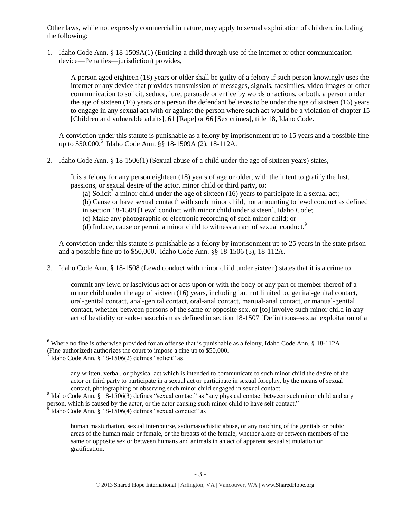Other laws, while not expressly commercial in nature, may apply to sexual exploitation of children, including the following:

1. Idaho Code Ann. § 18-1509A(1) (Enticing a child through use of the internet or other communication device—Penalties—jurisdiction) provides,

A person aged eighteen (18) years or older shall be guilty of a felony if such person knowingly uses the internet or any device that provides transmission of messages, signals, facsimiles, video images or other communication to solicit, seduce, lure, persuade or entice by words or actions, or both, a person under the age of sixteen (16) years or a person the defendant believes to be under the age of sixteen (16) years to engage in any sexual act with or against the person where such act would be a violation of chapter 15 [Children and vulnerable adults], 61 [Rape] or 66 [Sex crimes], [title 18,](http://www.legislature.idaho.gov/idstat/Title18/T18.htm) Idaho Code.

A conviction under this statute is punishable as a felony by imprisonment up to 15 years and a possible fine up to \$50,000.<sup>6</sup> Idaho Code Ann. §§ 18-1509A (2), 18-112A.

2. Idaho Code Ann. § 18-1506(1) (Sexual abuse of a child under the age of sixteen years) states,

It is a felony for any person eighteen (18) years of age or older, with the intent to gratify the lust, passions, or sexual desire of the actor, minor child or third party, to:

(a) Solicit<sup>7</sup> a minor child under the age of sixteen (16) years to participate in a sexual act;

(b) Cause or have sexual contact<sup>8</sup> with such minor child, not amounting to lewd conduct as defined in section [18-1508](http://www.legislature.idaho.gov/idstat/Title18/T18CH15SECT18-1508.htm) [Lewd conduct with minor child under sixteen], Idaho Code;

- <span id="page-2-0"></span>(c) Make any photographic or electronic recording of such minor child; or
- (d) Induce, cause or permit a minor child to witness an act of sexual conduct.<sup>9</sup>

A conviction under this statute is punishable as a felony by imprisonment up to 25 years in the state prison and a possible fine up to \$50,000. Idaho Code Ann. §§ 18-1506 (5), 18-112A.

3. Idaho Code Ann. § 18-1508 (Lewd conduct with minor child under sixteen) states that it is a crime to

commit any lewd or lascivious act or acts upon or with the body or any part or member thereof of a minor child under the age of sixteen (16) years, including but not limited to, genital-genital contact, oral-genital contact, anal-genital contact, oral-anal contact, manual-anal contact, or manual-genital contact, whether between persons of the same or opposite sex, or [to] involve such minor child in any act of bestiality or sado-masochism as defined in section 18-1507 [Definitions–sexual exploitation of a

l <sup>6</sup> Where no fine is otherwise provided for an offense that is punishable as a felony, Idaho Code Ann. § 18-112A

<sup>(</sup>Fine authorized) authorizes the court to impose a fine up to \$50,000.

 $\frac{7}{7}$ Idaho Code Ann. § 18-1506(2) defines "solicit" as

any written, verbal, or physical act which is intended to communicate to such minor child the desire of the actor or third party to participate in a sexual act or participate in sexual foreplay, by the means of sexual contact, photographing or observing such minor child engaged in sexual contact.

 $8$  Idaho Code Ann. § 18-1506(3) defines "sexual contact" as "any physical contact between such minor child and any person, which is caused by the actor, or the actor causing such minor child to have self contact."

 $\delta$  Idaho Code Ann. § 18-1506(4) defines "sexual conduct" as

human masturbation, sexual intercourse, sadomasochistic abuse, or any touching of the genitals or pubic areas of the human male or female, or the breasts of the female, whether alone or between members of the same or opposite sex or between humans and animals in an act of apparent sexual stimulation or gratification.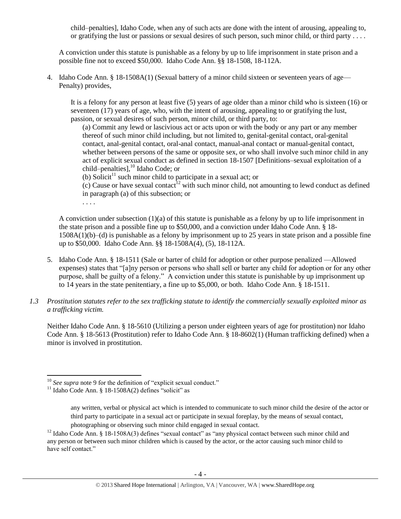child–penalties], Idaho Code, when any of such acts are done with the intent of arousing, appealing to, or gratifying the lust or passions or sexual desires of such person, such minor child, or third party . . . .

A conviction under this statute is punishable as a felony by up to life imprisonment in state prison and a possible fine not to exceed \$50,000. Idaho Code Ann. §§ 18-1508, 18-112A.

4. Idaho Code Ann. § 18-1508A(1) (Sexual battery of a minor child sixteen or seventeen years of age— Penalty) provides,

It is a felony for any person at least five (5) years of age older than a minor child who is sixteen (16) or seventeen (17) years of age, who, with the intent of arousing, appealing to or gratifying the lust, passion, or sexual desires of such person, minor child, or third party, to:

(a) Commit any lewd or lascivious act or acts upon or with the body or any part or any member thereof of such minor child including, but not limited to, genital-genital contact, oral-genital contact, anal-genital contact, oral-anal contact, manual-anal contact or manual-genital contact, whether between persons of the same or opposite sex, or who shall involve such minor child in any act of explicit sexual conduct as defined in section 18-1507 [Definitions–sexual exploitation of a child–penalties], $^{10}$  Idaho Code; or

- (b) Solicit<sup>11</sup> such minor child to participate in a sexual act; or
- (c) Cause or have sexual contact<sup>12</sup> with such minor child, not amounting to lewd conduct as defined in paragraph (a) of this subsection; or

. . . .

A conviction under subsection (1)(a) of this statute is punishable as a felony by up to life imprisonment in the state prison and a possible fine up to \$50,000, and a conviction under Idaho Code Ann. § 18- 1508A(1)(b)–(d) is punishable as a felony by imprisonment up to 25 years in state prison and a possible fine up to \$50,000. Idaho Code Ann. §§ 18-1508A(4), (5), 18-112A.

- 5. Idaho Code Ann. § 18-1511 (Sale or barter of child for adoption or other purpose penalized —Allowed expenses) states that "[a]ny person or persons who shall sell or barter any child for adoption or for any other purpose, shall be guilty of a felony." A conviction under this statute is punishable by up imprisonment up to 14 years in the state penitentiary, a fine up to \$5,000, or both. Idaho Code Ann. § 18-1511.
- *1.3 Prostitution statutes refer to the sex trafficking statute to identify the commercially sexually exploited minor as a trafficking victim.*

Neither Idaho Code Ann. § 18-5610 (Utilizing a person under eighteen years of age for prostitution) nor Idaho Code Ann. § 18-5613 (Prostitution) refer to Idaho Code Ann. § 18-8602(1) (Human trafficking defined) when a minor is involved in prostitution.

 $\overline{\phantom{a}}$ 

<sup>10</sup> *See supra* note [9](#page-2-0) for the definition of "explicit sexual conduct."

<sup>&</sup>lt;sup>11</sup> Idaho Code Ann. § 18-1508A(2) defines "solicit" as

any written, verbal or physical act which is intended to communicate to such minor child the desire of the actor or third party to participate in a sexual act or participate in sexual foreplay, by the means of sexual contact, photographing or observing such minor child engaged in sexual contact.

<sup>&</sup>lt;sup>12</sup> Idaho Code Ann. § 18-1508A(3) defines "sexual contact" as "any physical contact between such minor child and any person or between such minor children which is caused by the actor, or the actor causing such minor child to have self contact."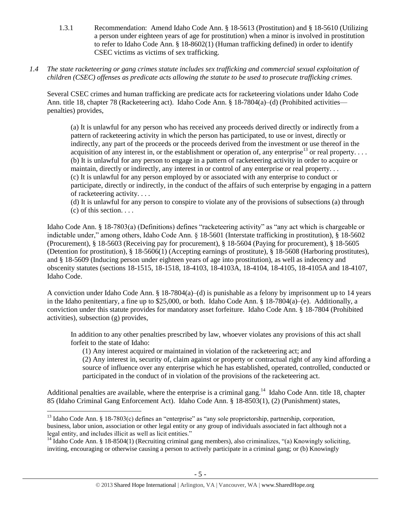- 1.3.1 Recommendation: Amend Idaho Code Ann. § 18-5613 (Prostitution) and § 18-5610 (Utilizing a person under eighteen years of age for prostitution) when a minor is involved in prostitution to refer to Idaho Code Ann. § 18-8602(1) (Human trafficking defined) in order to identify CSEC victims as victims of sex trafficking.
- *1.4 The state racketeering or gang crimes statute includes sex trafficking and commercial sexual exploitation of children (CSEC) offenses as predicate acts allowing the statute to be used to prosecute trafficking crimes.*

Several CSEC crimes and human trafficking are predicate acts for racketeering violations under Idaho Code Ann. title 18, chapter 78 (Racketeering act). Idaho Code Ann. § 18-7804(a)–(d) (Prohibited activities penalties) provides,

(a) It is unlawful for any person who has received any proceeds derived directly or indirectly from a pattern of racketeering activity in which the person has participated, to use or invest, directly or indirectly, any part of the proceeds or the proceeds derived from the investment or use thereof in the acquisition of any interest in, or the establishment or operation of, any enterprise<sup>13</sup> or real property.... (b) It is unlawful for any person to engage in a pattern of racketeering activity in order to acquire or maintain, directly or indirectly, any interest in or control of any enterprise or real property. . . (c) It is unlawful for any person employed by or associated with any enterprise to conduct or participate, directly or indirectly, in the conduct of the affairs of such enterprise by engaging in a pattern of racketeering activity. . . .

(d) It is unlawful for any person to conspire to violate any of the provisions of subsections (a) through  $(c)$  of this section.  $\ldots$ 

Idaho Code Ann. § 18-7803(a) (Definitions) defines "racketeering activity" as "any act which is chargeable or indictable under," among others, Idaho Code Ann. § 18-5601 (Interstate trafficking in prostitution), § 18-5602 (Procurement), § 18-5603 (Receiving pay for procurement), § 18-5604 (Paying for procurement), § 18-5605 (Detention for prostitution), § 18-5606(1) (Accepting earnings of prostitute), § 18-5608 (Harboring prostitutes), and § 18-5609 (Inducing person under eighteen years of age into prostitution), as well as indecency and obscenity statutes (sections 18-1515, 18-1518, 18-4103, 18-4103A, 18-4104, 18-4105, 18-4105A and 18-4107, Idaho Code.

A conviction under Idaho Code Ann. § 18-7804(a)–(d) is punishable as a felony by imprisonment up to 14 years in the Idaho penitentiary, a fine up to \$25,000, or both. Idaho Code Ann. § 18-7804(a)–(e). Additionally, a conviction under this statute provides for mandatory asset forfeiture. Idaho Code Ann. § 18-7804 (Prohibited activities), subsection (g) provides,

In addition to any other penalties prescribed by law, whoever violates any provisions of this act shall forfeit to the state of Idaho:

(1) Any interest acquired or maintained in violation of the racketeering act; and

(2) Any interest in, security of, claim against or property or contractual right of any kind affording a source of influence over any enterprise which he has established, operated, controlled, conducted or participated in the conduct of in violation of the provisions of the racketeering act.

Additional penalties are available, where the enterprise is a criminal gang.<sup>14</sup> Idaho Code Ann. title 18, chapter 85 (Idaho Criminal Gang Enforcement Act). Idaho Code Ann. § 18-8503(1), (2) (Punishment) states,

l <sup>13</sup> Idaho Code Ann. § 18-7803(c) defines an "enterprise" as "any sole proprietorship, partnership, corporation, business, labor union, association or other legal entity or any group of individuals associated in fact although not a legal entity, and includes illicit as well as licit entities."

<sup>&</sup>lt;sup>14</sup> Idaho Code Ann. § 18-8504(1) (Recruiting criminal gang members), also criminalizes, "(a) Knowingly soliciting, inviting, encouraging or otherwise causing a person to actively participate in a criminal gang; or (b) Knowingly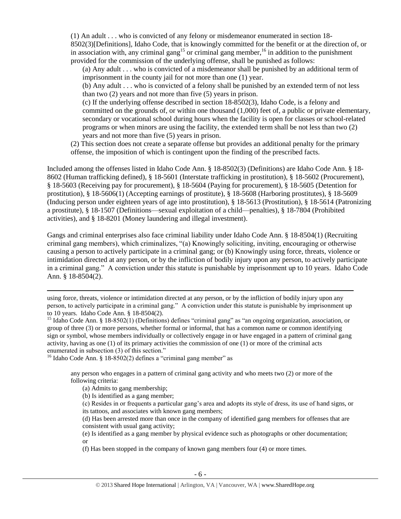(1) An adult . . . who is convicted of any felony or misdemeanor enumerated in section 18- 8502(3)[Definitions], Idaho Code, that is knowingly committed for the benefit or at the direction of, or in association with, any criminal gang<sup>15</sup> or criminal gang member,<sup>16</sup> in addition to the punishment provided for the commission of the underlying offense, shall be punished as follows:

(a) Any adult . . . who is convicted of a misdemeanor shall be punished by an additional term of imprisonment in the county jail for not more than one (1) year.

(b) Any adult . . . who is convicted of a felony shall be punished by an extended term of not less than two (2) years and not more than five (5) years in prison.

(c) If the underlying offense described in section 18-8502(3), Idaho Code, is a felony and committed on the grounds of, or within one thousand (1,000) feet of, a public or private elementary, secondary or vocational school during hours when the facility is open for classes or school-related programs or when minors are using the facility, the extended term shall be not less than two (2) years and not more than five (5) years in prison.

(2) This section does not create a separate offense but provides an additional penalty for the primary offense, the imposition of which is contingent upon the finding of the prescribed facts.

Included among the offenses listed in Idaho Code Ann. § 18-8502(3) (Definitions) are Idaho Code Ann. § 18- 8602 (Human trafficking defined), § 18-5601 (Interstate trafficking in prostitution), § 18-5602 (Procurement), § 18-5603 (Receiving pay for procurement), § 18-5604 (Paying for procurement), § 18-5605 (Detention for prostitution), § 18-5606(1) (Accepting earnings of prostitute), § 18-5608 (Harboring prostitutes), § 18-5609 (Inducing person under eighteen years of age into prostitution), § 18-5613 (Prostitution), § 18-5614 (Patronizing a prostitute), § 18-1507 (Definitions—sexual exploitation of a child—penalties), § 18-7804 (Prohibited activities), and § 18-8201 (Money laundering and illegal investment).

Gangs and criminal enterprises also face criminal liability under Idaho Code Ann. § 18-8504(1) (Recruiting criminal gang members), which criminalizes, "(a) Knowingly soliciting, inviting, encouraging or otherwise causing a person to actively participate in a criminal gang; or (b) Knowingly using force, threats, violence or intimidation directed at any person, or by the infliction of bodily injury upon any person, to actively participate in a criminal gang." A conviction under this statute is punishable by imprisonment up to 10 years. Idaho Code Ann. § 18-8504(2).

<sup>16</sup> Idaho Code Ann. § 18-8502(2) defines a "criminal gang member" as

any person who engages in a pattern of criminal gang activity and who meets two (2) or more of the following criteria:

(a) Admits to gang membership;

 $\overline{\phantom{a}}$ 

- (b) Is identified as a gang member;
- (c) Resides in or frequents a particular gang's area and adopts its style of dress, its use of hand signs, or its tattoos, and associates with known gang members;
- (d) Has been arrested more than once in the company of identified gang members for offenses that are consistent with usual gang activity;

(e) Is identified as a gang member by physical evidence such as photographs or other documentation; or

(f) Has been stopped in the company of known gang members four (4) or more times.

using force, threats, violence or intimidation directed at any person, or by the infliction of bodily injury upon any person, to actively participate in a criminal gang." A conviction under this statute is punishable by imprisonment up to 10 years. Idaho Code Ann. § 18-8504(2).

<sup>&</sup>lt;sup>15</sup> Idaho Code Ann. § 18-8502(1) (Definitions) defines "criminal gang" as "an ongoing organization, association, or group of three (3) or more persons, whether formal or informal, that has a common name or common identifying sign or symbol, whose members individually or collectively engage in or have engaged in a pattern of criminal gang activity, having as one (1) of its primary activities the commission of one (1) or more of the criminal acts enumerated in subsection (3) of this section."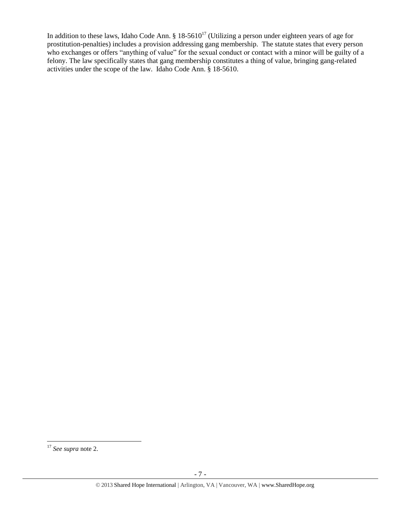In addition to these laws, Idaho Code Ann.  $\S 18-5610^{17}$  (Utilizing a person under eighteen years of age for prostitution-penalties) includes a provision addressing gang membership. The statute states that every person who exchanges or offers "anything of value" for the sexual conduct or contact with a minor will be guilty of a felony. The law specifically states that gang membership constitutes a thing of value, bringing gang-related activities under the scope of the law. Idaho Code Ann. § 18-5610.

 $\overline{\phantom{a}}$ <sup>17</sup> *See supra* note [2.](#page-1-0)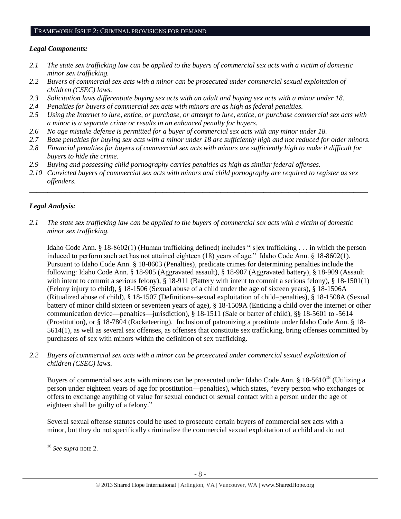#### FRAMEWORK ISSUE 2: CRIMINAL PROVISIONS FOR DEMAND

### *Legal Components:*

- *2.1 The state sex trafficking law can be applied to the buyers of commercial sex acts with a victim of domestic minor sex trafficking.*
- *2.2 Buyers of commercial sex acts with a minor can be prosecuted under commercial sexual exploitation of children (CSEC) laws.*
- *2.3 Solicitation laws differentiate buying sex acts with an adult and buying sex acts with a minor under 18.*
- *2.4 Penalties for buyers of commercial sex acts with minors are as high as federal penalties.*
- *2.5 Using the Internet to lure, entice, or purchase, or attempt to lure, entice, or purchase commercial sex acts with a minor is a separate crime or results in an enhanced penalty for buyers.*
- *2.6 No age mistake defense is permitted for a buyer of commercial sex acts with any minor under 18.*
- *2.7 Base penalties for buying sex acts with a minor under 18 are sufficiently high and not reduced for older minors.*
- *2.8 Financial penalties for buyers of commercial sex acts with minors are sufficiently high to make it difficult for buyers to hide the crime.*
- *2.9 Buying and possessing child pornography carries penalties as high as similar federal offenses.*
- *2.10 Convicted buyers of commercial sex acts with minors and child pornography are required to register as sex offenders.*

\_\_\_\_\_\_\_\_\_\_\_\_\_\_\_\_\_\_\_\_\_\_\_\_\_\_\_\_\_\_\_\_\_\_\_\_\_\_\_\_\_\_\_\_\_\_\_\_\_\_\_\_\_\_\_\_\_\_\_\_\_\_\_\_\_\_\_\_\_\_\_\_\_\_\_\_\_\_\_\_\_\_\_\_\_\_\_\_\_\_\_\_\_\_

# *Legal Analysis:*

*2.1 The state sex trafficking law can be applied to the buyers of commercial sex acts with a victim of domestic minor sex trafficking.*

Idaho Code Ann. § 18-8602(1) (Human trafficking defined) includes "[s]ex trafficking . . . in which the person induced to perform such act has not attained eighteen (18) years of age." Idaho Code Ann. § 18-8602(1). Pursuant to Idaho Code Ann. § 18-8603 (Penalties), predicate crimes for determining penalties include the following: Idaho Code Ann. § 18-905 (Aggravated assault), § 18-907 (Aggravated battery), § 18-909 (Assault with intent to commit a serious felony), § 18-911 (Battery with intent to commit a serious felony), § 18-1501(1) (Felony injury to child), § 18-1506 (Sexual abuse of a child under the age of sixteen years), § 18-1506A (Ritualized abuse of child), § 18-1507 (Definitions–sexual exploitation of child–penalties), § 18-1508A (Sexual battery of minor child sixteen or seventeen years of age), § 18-1509A (Enticing a child over the internet or other communication device—penalties—jurisdiction), § 18-1511 (Sale or barter of child), §§ 18-5601 to -5614 (Prostitution), or § 18-7804 (Racketeering). Inclusion of patronizing a prostitute under Idaho Code Ann. § 18- 5614(1), as well as several sex offenses, as offenses that constitute sex trafficking, bring offenses committed by purchasers of sex with minors within the definition of sex trafficking.

*2.2 Buyers of commercial sex acts with a minor can be prosecuted under commercial sexual exploitation of children (CSEC) laws.*

Buyers of commercial sex acts with minors can be prosecuted under Idaho Code Ann.  $\S$  18-5610<sup>18</sup> (Utilizing a person under eighteen years of age for prostitution—penalties), which states, "every person who exchanges or offers to exchange anything of value for sexual conduct or sexual contact with a person under the age of eighteen shall be guilty of a felony."

Several sexual offense statutes could be used to prosecute certain buyers of commercial sex acts with a minor, but they do not specifically criminalize the commercial sexual exploitation of a child and do not

 $\overline{\phantom{a}}$ <sup>18</sup> *See supra* note [2.](#page-1-0)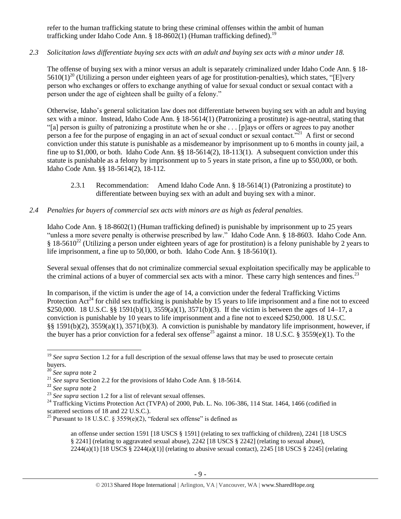refer to the human trafficking statute to bring these criminal offenses within the ambit of human trafficking under Idaho Code Ann. § 18-8602(1) (Human trafficking defined).<sup>19</sup>

# *2.3 Solicitation laws differentiate buying sex acts with an adult and buying sex acts with a minor under 18.*

The offense of buying sex with a minor versus an adult is separately criminalized under Idaho Code Ann. § 18-  $5610(1)^{20}$  (Utilizing a person under eighteen years of age for prostitution-penalties), which states, "[E]very person who exchanges or offers to exchange anything of value for sexual conduct or sexual contact with a person under the age of eighteen shall be guilty of a felony."

Otherwise, Idaho's general solicitation law does not differentiate between buying sex with an adult and buying sex with a minor. Instead, Idaho Code Ann. § 18-5614(1) (Patronizing a prostitute) is age-neutral, stating that "[a] person is guilty of patronizing a prostitute when he or she . . . [p]ays or offers or agrees to pay another person a fee for the purpose of engaging in an act of sexual conduct or sexual contact."<sup>21</sup> A first or second conviction under this statute is punishable as a misdemeanor by imprisonment up to 6 months in county jail, a fine up to \$1,000, or both. Idaho Code Ann. §§ 18-5614(2), 18-113(1). A subsequent conviction under this statute is punishable as a felony by imprisonment up to 5 years in state prison, a fine up to \$50,000, or both. Idaho Code Ann. §§ 18-5614(2), 18-112.

2.3.1 Recommendation: Amend Idaho Code Ann. § 18-5614(1) (Patronizing a prostitute) to differentiate between buying sex with an adult and buying sex with a minor.

# *2.4 Penalties for buyers of commercial sex acts with minors are as high as federal penalties.*

Idaho Code Ann. § 18-8602(1) (Human trafficking defined) is punishable by imprisonment up to 25 years "unless a more severe penalty is otherwise prescribed by law." Idaho Code Ann. § 18-8603. Idaho Code Ann.  $§$  18-5610<sup>22</sup> (Utilizing a person under eighteen years of age for prostitution) is a felony punishable by 2 years to life imprisonment, a fine up to 50,000, or both. Idaho Code Ann. § 18-5610(1).

Several sexual offenses that do not criminalize commercial sexual exploitation specifically may be applicable to the criminal actions of a buyer of commercial sex acts with a minor. These carry high sentences and fines.<sup>23</sup>

<span id="page-8-0"></span>In comparison, if the victim is under the age of 14, a conviction under the federal Trafficking Victims Protection  $Act^{24}$  for child sex trafficking is punishable by 15 years to life imprisonment and a fine not to exceed \$250,000. 18 U.S.C. §§ 1591(b)(1), 3559(a)(1), 3571(b)(3). If the victim is between the ages of 14–17, a conviction is punishable by 10 years to life imprisonment and a fine not to exceed \$250,000. 18 U.S.C. §§ 1591(b)(2), 3559(a)(1), 3571(b)(3). A conviction is punishable by mandatory life imprisonment, however, if the buyer has a prior conviction for a federal sex offense<sup>25</sup> against a minor. 18 U.S.C. § 3559(e)(1). To the

<span id="page-8-1"></span> $\overline{\phantom{a}}$ <sup>19</sup> See supra Section 1.2 for a full description of the sexual offense laws that may be used to prosecute certain buyers.

<sup>20</sup> *See supra* note [2](#page-1-0)

<sup>&</sup>lt;sup>21</sup> *See supra* Section 2.2 for the provisions of Idaho Code Ann. § 18-5614.

<sup>22</sup> *See supra* note [2](#page-1-0)

<sup>&</sup>lt;sup>23</sup> *See supra* section 1.2 for a list of relevant sexual offenses.

<sup>&</sup>lt;sup>24</sup> Trafficking Victims Protection Act (TVPA) of 2000, Pub. L. No. 106-386, 114 Stat. 1464, 1466 (codified in scattered sections of 18 and 22 U.S.C.).

<sup>&</sup>lt;sup>25</sup> Pursuant to 18 U.S.C. § 3559(e)(2), "federal sex offense" is defined as

an offense under section 1591 [18 USCS § 1591] (relating to sex trafficking of children), 2241 [18 USCS § 2241] (relating to aggravated sexual abuse), 2242 [18 USCS § 2242] (relating to sexual abuse),  $2244(a)(1)$  [18 USCS § 2244(a)(1)] (relating to abusive sexual contact), 2245 [18 USCS § 2245] (relating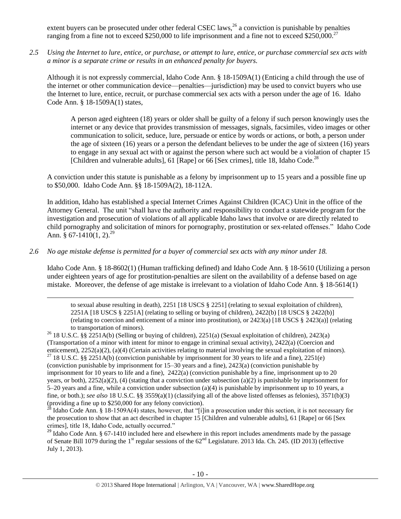extent buyers can be prosecuted under other federal CSEC laws,  $^{26}$  a conviction is punishable by penalties ranging from a fine not to exceed  $$250,000$  to life imprisonment and a fine not to exceed  $$250,000.<sup>27</sup>$ 

*2.5 Using the Internet to lure, entice, or purchase, or attempt to lure, entice, or purchase commercial sex acts with a minor is a separate crime or results in an enhanced penalty for buyers.*

Although it is not expressly commercial, Idaho Code Ann. § 18-1509A(1) (Enticing a child through the use of the internet or other communication device—penalties—jurisdiction) may be used to convict buyers who use the Internet to lure, entice, recruit, or purchase commercial sex acts with a person under the age of 16. Idaho Code Ann. § 18-1509A(1) states,

A person aged eighteen (18) years or older shall be guilty of a felony if such person knowingly uses the internet or any device that provides transmission of messages, signals, facsimiles, video images or other communication to solicit, seduce, lure, persuade or entice by words or actions, or both, a person under the age of sixteen (16) years or a person the defendant believes to be under the age of sixteen (16) years to engage in any sexual act with or against the person where such act would be a violation of chapter 15 [Children and vulnerable adults], 61 [Rape] or 66 [Sex crimes], [title 18,](http://www.legislature.idaho.gov/idstat/Title18/T18.htm) Idaho Code.<sup>28</sup>

A conviction under this statute is punishable as a felony by imprisonment up to 15 years and a possible fine up to \$50,000. Idaho Code Ann. §§ 18-1509A(2), 18-112A.

<span id="page-9-0"></span>In addition, Idaho has established a special Internet Crimes Against Children (ICAC) Unit in the office of the Attorney General. The unit "shall have the authority and responsibility to conduct a statewide program for the investigation and prosecution of violations of all applicable Idaho laws that involve or are directly related to child pornography and solicitation of minors for pornography, prostitution or sex-related offenses." Idaho Code Ann.  $\hat{\S}$  67-1410(1, 2).<sup>29</sup>

### *2.6 No age mistake defense is permitted for a buyer of commercial sex acts with any minor under 18.*

 $\overline{a}$ 

Idaho Code Ann. § 18-8602(1) (Human trafficking defined) and Idaho Code Ann. § 18-5610 (Utilizing a person under eighteen years of age for prostitution-penalties are silent on the availability of a defense based on age mistake. Moreover, the defense of age mistake is irrelevant to a violation of Idaho Code Ann. § 18-5614(1)

to sexual abuse resulting in death), 2251 [18 USCS § 2251] (relating to sexual exploitation of children), 2251A [18 USCS § 2251A] (relating to selling or buying of children), 2422(b) [18 USCS § 2422(b)] (relating to coercion and enticement of a minor into prostitution), or 2423(a) [18 USCS § 2423(a)] (relating to transportation of minors).

<sup>26</sup> 18 U.S.C. §§ 2251A(b) (Selling or buying of children), 2251(a) (Sexual exploitation of children), 2423(a) (Transportation of a minor with intent for minor to engage in criminal sexual activity), 2422(a) (Coercion and enticement), 2252(a)(2), (a)(4) (Certain activities relating to material involving the sexual exploitation of minors).

<sup>27</sup> 18 U.S.C. §§ 2251A(b) (conviction punishable by imprisonment for 30 years to life and a fine), 2251(e) (conviction punishable by imprisonment for 15–30 years and a fine), 2423(a) (conviction punishable by imprisonment for 10 years to life and a fine),  $2422(a)$  (conviction punishable by a fine, imprisonment up to 20 years, or both),  $2252(a)(2)$ , (4) (stating that a conviction under subsection (a)(2) is punishable by imprisonment for 5–20 years and a fine, while a conviction under subsection (a)(4) is punishable by imprisonment up to 10 years, a fine, or both.); *see also* 18 U.S.C. §§ 3559(a)(1) (classifying all of the above listed offenses as felonies), 3571(b)(3) (providing a fine up to \$250,000 for any felony conviction).

28 Idaho Code Ann. § 18-1509A(4) states, however, that "[i]in a prosecution under this section, it is not necessary for the prosecution to show that an act described in chapter 15 [Children and vulnerable adults], 61 [Rape] or 66 [Sex crimes], title 18, Idaho Code, actually occurred."

<sup>29</sup> Idaho Code Ann. § 67-1410 included here and elsewhere in this report includes amendments made by the passage of Senate Bill 1079 during the 1<sup>st</sup> regular sessions of the  $62<sup>nd</sup>$  Legislature. 2013 Ida. Ch. 245. (ID 2013) (effective July 1, 2013).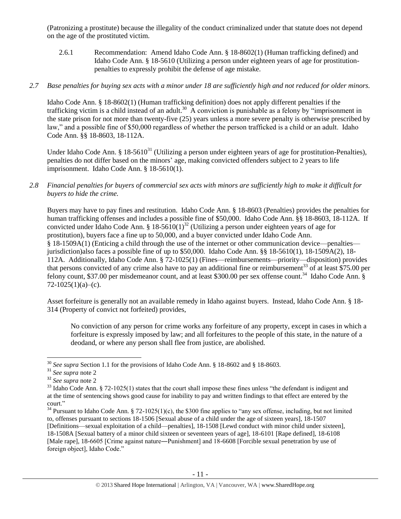(Patronizing a prostitute) because the illegality of the conduct criminalized under that statute does not depend on the age of the prostituted victim.

2.6.1 Recommendation: Amend Idaho Code Ann. § 18-8602(1) (Human trafficking defined) and Idaho Code Ann. § 18-5610 (Utilizing a person under eighteen years of age for prostitutionpenalties to expressly prohibit the defense of age mistake.

## *2.7 Base penalties for buying sex acts with a minor under 18 are sufficiently high and not reduced for older minors.*

Idaho Code Ann. § 18-8602(1) (Human trafficking definition) does not apply different penalties if the trafficking victim is a child instead of an adult.<sup>30</sup> A conviction is punishable as a felony by "imprisonment in the state prison for not more than twenty-five (25) years unless a more severe penalty is otherwise prescribed by law," and a possible fine of \$50,000 regardless of whether the person trafficked is a child or an adult. Idaho Code Ann. §§ 18-8603, 18-112A.

Under Idaho Code Ann. § 18-5610<sup>31</sup> (Utilizing a person under eighteen years of age for prostitution-Penalties), penalties do not differ based on the minors' age, making convicted offenders subject to 2 years to life imprisonment. Idaho Code Ann. § 18-5610(1).

### *2.8 Financial penalties for buyers of commercial sex acts with minors are sufficiently high to make it difficult for buyers to hide the crime.*

Buyers may have to pay fines and restitution. Idaho Code Ann. § 18-8603 (Penalties) provides the penalties for human trafficking offenses and includes a possible fine of \$50,000. Idaho Code Ann. §§ 18-8603, 18-112A. If convicted under Idaho Code Ann. § 18-5610(1)<sup>32</sup> (Utilizing a person under eighteen years of age for prostitution), buyers face a fine up to 50,000, and a buyer convicted under Idaho Code Ann. § 18-1509A(1) (Enticing a child through the use of the internet or other communication device—penalties jurisdiction)also faces a possible fine of up to \$50,000. Idaho Code Ann. §§ 18-5610(1), 18-1509A(2), 18- 112A. Additionally, Idaho Code Ann. § 72-1025(1) (Fines—reimbursements—priority—disposition) provides that persons convicted of any crime also have to pay an additional fine or reimbursement<sup>33</sup> of at least \$75.00 per felony count, \$37.00 per misdemeanor count, and at least \$300.00 per sex offense count.<sup>34</sup> Idaho Code Ann. §  $72-1025(1)(a)$ –(c).

Asset forfeiture is generally not an available remedy in Idaho against buyers. Instead, Idaho Code Ann. § 18- 314 (Property of convict not forfeited) provides,

<span id="page-10-0"></span>No conviction of any person for crime works any forfeiture of any property, except in cases in which a forfeiture is expressly imposed by law; and all forfeitures to the people of this state, in the nature of a deodand, or where any person shall flee from justice, are abolished.

 $\overline{\phantom{a}}$ 

<sup>30</sup> *See supra* Section 1.1 for the provisions of Idaho Code Ann. § 18-8602 and § 18-8603.

<sup>31</sup> *See supra* note [2](#page-1-0)

<sup>32</sup> *See supra* note [2](#page-1-0)

 $33$  Idaho Code Ann. § 72-1025(1) states that the court shall impose these fines unless "the defendant is indigent and at the time of sentencing shows good cause for inability to pay and written findings to that effect are entered by the court."

 $34$  Pursuant to Idaho Code Ann. § 72-1025(1)(c), the \$300 fine applies to "any sex offense, including, but not limited to, offenses pursuant to sections 18-1506 [Sexual abuse of a child under the age of sixteen years], 18-1507 [Definitions—sexual exploitation of a child—penalties], 18-1508 [Lewd conduct with minor child under sixteen], 18-1508A [Sexual battery of a minor child sixteen or seventeen years of age], 18-6101 [Rape defined], 18-6108 [Male rape], 18-6605 [Crime against nature—Punishment] and 18-6608 [Forcible sexual penetration by use of foreign object], Idaho Code."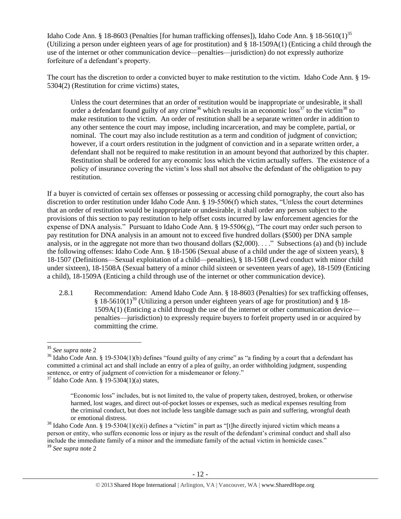Idaho Code Ann. § 18-8603 (Penalties [for human trafficking offenses]), Idaho Code Ann. § 18-5610(1)<sup>35</sup> (Utilizing a person under eighteen years of age for prostitution) and § 18-1509A(1) (Enticing a child through the use of the internet or other communication device—penalties—jurisdiction) do not expressly authorize forfeiture of a defendant's property.

The court has the discretion to order a convicted buyer to make restitution to the victim. Idaho Code Ann. § 19- 5304(2) (Restitution for crime victims) states,

<span id="page-11-2"></span><span id="page-11-1"></span><span id="page-11-0"></span>Unless the court determines that an order of restitution would be inappropriate or undesirable, it shall order a defendant found guilty of any crime<sup>36</sup> which results in an economic loss<sup>37</sup> to the victim<sup>38</sup> to make restitution to the victim. An order of restitution shall be a separate written order in addition to any other sentence the court may impose, including incarceration, and may be complete, partial, or nominal. The court may also include restitution as a term and condition of judgment of conviction; however, if a court orders restitution in the judgment of conviction and in a separate written order, a defendant shall not be required to make restitution in an amount beyond that authorized by this chapter. Restitution shall be ordered for any economic loss which the victim actually suffers. The existence of a policy of insurance covering the victim's loss shall not absolve the defendant of the obligation to pay restitution.

If a buyer is convicted of certain sex offenses or possessing or accessing child pornography, the court also has discretion to order restitution under Idaho Code Ann. § 19-5506(f) which states, "Unless the court determines that an order of restitution would be inappropriate or undesirable, it shall order any person subject to the provisions of this section to pay restitution to help offset costs incurred by law enforcement agencies for the expense of DNA analysis." Pursuant to Idaho Code Ann. § 19-5506(g), "The court may order such person to pay restitution for DNA analysis in an amount not to exceed five hundred dollars (\$500) per DNA sample analysis, or in the aggregate not more than two thousand dollars (\$2,000). . . ." Subsections (a) and (b) include the following offenses: Idaho Code Ann. § 18-1506 (Sexual abuse of a child under the age of sixteen years), § 18-1507 (Definitions—Sexual exploitation of a child—penalties), § 18-1508 (Lewd conduct with minor child under sixteen), 18-1508A (Sexual battery of a minor child sixteen or seventeen years of age), 18-1509 (Enticing a child), 18-1509A (Enticing a child through use of the internet or other communication device).

2.8.1 Recommendation: Amend Idaho Code Ann. § 18-8603 (Penalties) for sex trafficking offenses, § 18-5610(1)<sup>39</sup> (Utilizing a person under eighteen years of age for prostitution) and § 18-1509A(1) (Enticing a child through the use of the internet or other communication device penalties—jurisdiction) to expressly require buyers to forfeit property used in or acquired by committing the crime.

 $\overline{a}$ 

<sup>35</sup> *See supra* note [2](#page-1-0)

<sup>&</sup>lt;sup>36</sup> Idaho Code Ann. § 19-5304(1)(b) defines "found guilty of any crime" as "a finding by a court that a defendant has committed a criminal act and shall include an entry of a plea of guilty, an order withholding judgment, suspending sentence, or entry of judgment of conviction for a misdemeanor or felony."

 $37$  Idaho Code Ann. § 19-5304(1)(a) states,

<sup>&</sup>quot;Economic loss" includes, but is not limited to, the value of property taken, destroyed, broken, or otherwise harmed, lost wages, and direct out-of-pocket losses or expenses, such as medical expenses resulting from the criminal conduct, but does not include less tangible damage such as pain and suffering, wrongful death or emotional distress.

<sup>&</sup>lt;sup>38</sup> Idaho Code Ann. § 19-5304(1)(e)(i) defines a "victim" in part as "[t]he directly injured victim which means a person or entity, who suffers economic loss or injury as the result of the defendant's criminal conduct and shall also include the immediate family of a minor and the immediate family of the actual victim in homicide cases." <sup>39</sup> *See supra* note [2](#page-1-0)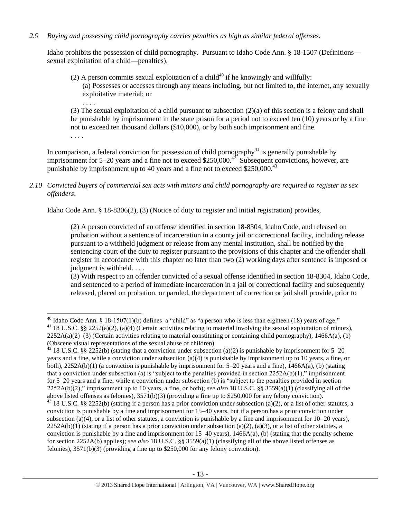# *2.9 Buying and possessing child pornography carries penalties as high as similar federal offenses.*

Idaho prohibits the possession of child pornography. Pursuant to Idaho Code Ann. § 18-1507 (Definitions sexual exploitation of a child—penalties),

(2) A person commits sexual exploitation of a child<sup>40</sup> if he knowingly and willfully: (a) Possesses or accesses through any means including, but not limited to, the internet, any sexually exploitative material; or

(3) The sexual exploitation of a child pursuant to subsection (2)(a) of this section is a felony and shall be punishable by imprisonment in the state prison for a period not to exceed ten (10) years or by a fine not to exceed ten thousand dollars (\$10,000), or by both such imprisonment and fine.

. . . .

. . . .

In comparison, a federal conviction for possession of child pornography<sup>41</sup> is generally punishable by imprisonment for 5–20 years and a fine not to exceed \$250,000.<sup>42</sup> Subsequent convictions, however, are punishable by imprisonment up to 40 years and a fine not to exceed  $$250,000.<sup>43</sup>$ 

*2.10 Convicted buyers of commercial sex acts with minors and child pornography are required to register as sex offenders*.

Idaho Code Ann. § 18-8306(2), (3) (Notice of duty to register and initial registration) provides,

(2) A person convicted of an offense identified in section 18-8304, Idaho Code, and released on probation without a sentence of incarceration in a county jail or correctional facility, including release pursuant to a withheld judgment or release from any mental institution, shall be notified by the sentencing court of the duty to register pursuant to the provisions of this chapter and the offender shall register in accordance with this chapter no later than two (2) working days after sentence is imposed or judgment is withheld. . . .

(3) With respect to an offender convicted of a sexual offense identified in section 18-8304, Idaho Code, and sentenced to a period of immediate incarceration in a jail or correctional facility and subsequently released, placed on probation, or paroled, the department of correction or jail shall provide, prior to

 $\overline{\phantom{a}}$ <sup>40</sup> Idaho Code Ann. § 18-1507(1)(b) defines a "child" as "a person who is less than eighteen (18) years of age." <sup>41</sup> 18 U.S.C. §§ 2252(a)(2), (a)(4) (Certain activities relating to material involving the sexual exploitation of minors),  $2252A(a)(2)$ –(3) (Certain activities relating to material constituting or containing child pornography), 1466A(a), (b) (Obscene visual representations of the sexual abuse of children).

 $42$  18 U.S.C. §§ 2252(b) (stating that a conviction under subsection (a)(2) is punishable by imprisonment for 5–20 years and a fine, while a conviction under subsection (a)(4) is punishable by imprisonment up to 10 years, a fine, or both),  $2252A(b)(1)$  (a conviction is punishable by imprisonment for 5–20 years and a fine),  $1466A(a)$ , (b) (stating that a conviction under subsection (a) is "subject to the penalties provided in section  $2252A(b)(1)$ ," imprisonment for 5–20 years and a fine, while a conviction under subsection (b) is "subject to the penalties provided in section 2252A(b)(2)," imprisonment up to 10 years, a fine, or both); *see also* 18 U.S.C. §§ 3559(a)(1) (classifying all of the above listed offenses as felonies), 3571(b)(3) (providing a fine up to \$250,000 for any felony conviction).

 $43$  18 U.S.C. §§ 2252(b) (stating if a person has a prior conviction under subsection (a)(2), or a list of other statutes, a conviction is punishable by a fine and imprisonment for 15–40 years, but if a person has a prior conviction under subsection (a)(4), or a list of other statutes, a conviction is punishable by a fine and imprisonment for  $10-20$  years),  $2252A(b)(1)$  (stating if a person has a prior conviction under subsection (a)(2), (a)(3), or a list of other statutes, a conviction is punishable by a fine and imprisonment for  $15-40$  years),  $1466A(a)$ , (b) (stating that the penalty scheme for section 2252A(b) applies); *see also* 18 U.S.C. §§ 3559(a)(1) (classifying all of the above listed offenses as felonies), 3571(b)(3) (providing a fine up to \$250,000 for any felony conviction).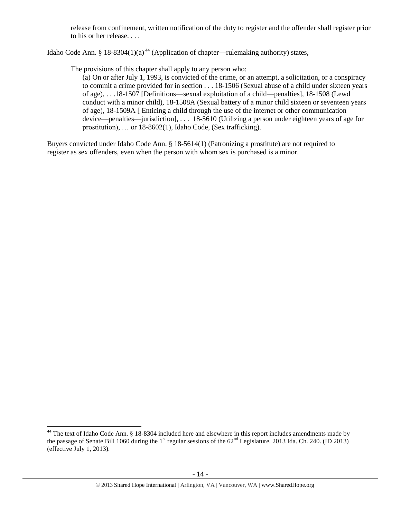release from confinement, written notification of the duty to register and the offender shall register prior to his or her release. . . .

Idaho Code Ann. § 18-8304(1)(a)<sup>44</sup> (Application of chapter—rulemaking authority) states,

The provisions of this chapter shall apply to any person who:

<span id="page-13-0"></span>(a) On or after July 1, 1993, is convicted of the crime, or an attempt, a solicitation, or a conspiracy to commit a crime provided for in section . . . 18-1506 (Sexual abuse of a child under sixteen years of age), . . .18-1507 [Definitions—sexual exploitation of a child—penalties], 18-1508 (Lewd conduct with a minor child), 18-1508A (Sexual battery of a minor child sixteen or seventeen years of age), 18-1509A [ Enticing a child through the use of the internet or other communication device—penalties—jurisdiction], . . . 18-5610 (Utilizing a person under eighteen years of age for prostitution), … or 18-8602(1), Idaho Code, (Sex trafficking).

Buyers convicted under Idaho Code Ann. § 18-5614(1) (Patronizing a prostitute) are not required to register as sex offenders, even when the person with whom sex is purchased is a minor.

l

<sup>&</sup>lt;sup>44</sup> The text of Idaho Code Ann. § 18-8304 included here and elsewhere in this report includes amendments made by the passage of Senate Bill 1060 during the 1<sup>st</sup> regular sessions of the  $62<sup>nd</sup>$  Legislature. 2013 Ida. Ch. 240. (ID 2013) (effective July 1, 2013).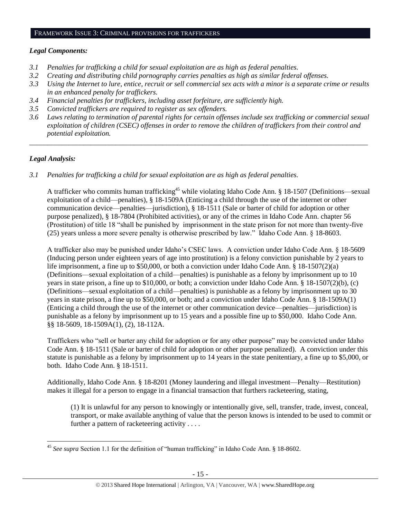#### FRAMEWORK ISSUE 3: CRIMINAL PROVISIONS FOR TRAFFICKERS

#### *Legal Components:*

- *3.1 Penalties for trafficking a child for sexual exploitation are as high as federal penalties.*
- *3.2 Creating and distributing child pornography carries penalties as high as similar federal offenses.*
- *3.3 Using the Internet to lure, entice, recruit or sell commercial sex acts with a minor is a separate crime or results in an enhanced penalty for traffickers.*
- *3.4 Financial penalties for traffickers, including asset forfeiture, are sufficiently high.*
- *3.5 Convicted traffickers are required to register as sex offenders.*
- *3.6 Laws relating to termination of parental rights for certain offenses include sex trafficking or commercial sexual exploitation of children (CSEC) offenses in order to remove the children of traffickers from their control and potential exploitation.*

*\_\_\_\_\_\_\_\_\_\_\_\_\_\_\_\_\_\_\_\_\_\_\_\_\_\_\_\_\_\_\_\_\_\_\_\_\_\_\_\_\_\_\_\_\_\_\_\_\_\_\_\_\_\_\_\_\_\_\_\_\_\_\_\_\_\_\_\_\_\_\_\_\_\_\_\_\_\_\_\_\_\_\_\_\_\_\_\_\_\_\_\_\_\_*

# *Legal Analysis:*

*3.1 Penalties for trafficking a child for sexual exploitation are as high as federal penalties.* 

A trafficker who commits human trafficking<sup>45</sup> while violating Idaho Code Ann. § 18-1507 (Definitions—sexual exploitation of a child—penalties), § 18-1509A (Enticing a child through the use of the internet or other communication device—penalties—jurisdiction), § 18-1511 (Sale or barter of child for adoption or other purpose penalized), § 18-7804 (Prohibited activities), or any of the crimes in Idaho Code Ann. chapter 56 (Prostitution) of title 18 "shall be punished by imprisonment in the state prison for not more than twenty-five (25) years unless a more severe penalty is otherwise prescribed by law." Idaho Code Ann. § 18-8603.

A trafficker also may be punished under Idaho's CSEC laws. A conviction under Idaho Code Ann. § 18-5609 (Inducing person under eighteen years of age into prostitution) is a felony conviction punishable by 2 years to life imprisonment, a fine up to \$50,000, or both a conviction under Idaho Code Ann. § 18-1507(2)(a) (Definitions—sexual exploitation of a child—penalties) is punishable as a felony by imprisonment up to 10 years in state prison, a fine up to \$10,000, or both; a conviction under Idaho Code Ann. § 18-1507(2)(b), (c) (Definitions—sexual exploitation of a child—penalties) is punishable as a felony by imprisonment up to 30 years in state prison, a fine up to \$50,000, or both; and a conviction under Idaho Code Ann. § 18-1509A(1) (Enticing a child through the use of the internet or other communication device—penalties—jurisdiction) is punishable as a felony by imprisonment up to 15 years and a possible fine up to \$50,000. Idaho Code Ann. §§ 18-5609, 18-1509A(1), (2), 18-112A.

Traffickers who "sell or barter any child for adoption or for any other purpose" may be convicted under Idaho Code Ann. § 18-1511 (Sale or barter of child for adoption or other purpose penalized). A conviction under this statute is punishable as a felony by imprisonment up to 14 years in the state penitentiary, a fine up to \$5,000, or both. Idaho Code Ann. § 18-1511.

Additionally, Idaho Code Ann. § 18-8201 (Money laundering and illegal investment—Penalty—Restitution) makes it illegal for a person to engage in a financial transaction that furthers racketeering, stating,

(1) It is unlawful for any person to knowingly or intentionally give, sell, transfer, trade, invest, conceal, transport, or make available anything of value that the person knows is intended to be used to commit or further a pattern of racketeering activity . . . .

 $\overline{\phantom{a}}$ <sup>45</sup> *See supra* Section 1.1 for the definition of "human trafficking" in Idaho Code Ann. § 18-8602.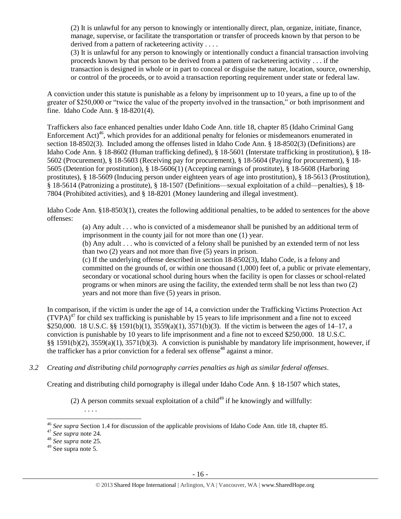(2) It is unlawful for any person to knowingly or intentionally direct, plan, organize, initiate, finance, manage, supervise, or facilitate the transportation or transfer of proceeds known by that person to be derived from a pattern of racketeering activity . . . .

(3) It is unlawful for any person to knowingly or intentionally conduct a financial transaction involving proceeds known by that person to be derived from a pattern of racketeering activity . . . if the transaction is designed in whole or in part to conceal or disguise the nature, location, source, ownership, or control of the proceeds, or to avoid a transaction reporting requirement under state or federal law.

A conviction under this statute is punishable as a felony by imprisonment up to 10 years, a fine up to of the greater of \$250,000 or "twice the value of the property involved in the transaction," or both imprisonment and fine. Idaho Code Ann. § 18-8201(4).

Traffickers also face enhanced penalties under Idaho Code Ann. title 18, chapter 85 (Idaho Criminal Gang Enforcement Act<sup>46</sup>, which provides for an additional penalty for felonies or misdemeanors enumerated in section 18-8502(3). Included among the offenses listed in Idaho Code Ann. § 18-8502(3) (Definitions) are Idaho Code Ann. § 18-8602 (Human trafficking defined), § 18-5601 (Interstate trafficking in prostitution), § 18- 5602 (Procurement), § 18-5603 (Receiving pay for procurement), § 18-5604 (Paying for procurement), § 18- 5605 (Detention for prostitution), § 18-5606(1) (Accepting earnings of prostitute), § 18-5608 (Harboring prostitutes), § 18-5609 (Inducing person under eighteen years of age into prostitution), § 18-5613 (Prostitution), § 18-5614 (Patronizing a prostitute), § 18-1507 (Definitions—sexual exploitation of a child—penalties), § 18- 7804 (Prohibited activities), and § 18-8201 (Money laundering and illegal investment).

Idaho Code Ann. §18-8503(1), creates the following additional penalties, to be added to sentences for the above offenses:

> (a) Any adult . . . who is convicted of a misdemeanor shall be punished by an additional term of imprisonment in the county jail for not more than one (1) year.

> (b) Any adult . . . who is convicted of a felony shall be punished by an extended term of not less than two (2) years and not more than five (5) years in prison.

(c) If the underlying offense described in section 18-8502(3), Idaho Code, is a felony and committed on the grounds of, or within one thousand (1,000) feet of, a public or private elementary, secondary or vocational school during hours when the facility is open for classes or school-related programs or when minors are using the facility, the extended term shall be not less than two (2) years and not more than five (5) years in prison.

In comparison, if the victim is under the age of 14, a conviction under the Trafficking Victims Protection Act  $(TVPA)<sup>47</sup>$  for child sex trafficking is punishable by 15 years to life imprisonment and a fine not to exceed \$250,000. 18 U.S.C. §§ 1591(b)(1), 3559(a)(1), 3571(b)(3). If the victim is between the ages of 14–17, a conviction is punishable by 10 years to life imprisonment and a fine not to exceed \$250,000. 18 U.S.C. §§ 1591(b)(2), 3559(a)(1), 3571(b)(3). A conviction is punishable by mandatory life imprisonment, however, if the trafficker has a prior conviction for a federal sex offense<sup>48</sup> against a minor.

*3.2 Creating and distributing child pornography carries penalties as high as similar federal offenses*.

Creating and distributing child pornography is illegal under Idaho Code Ann. § 18-1507 which states,

(2) A person commits sexual exploitation of a child<sup>49</sup> if he knowingly and willfully:

. . . .

 $\overline{a}$ <sup>46</sup> *See supra* Section 1.4 for discussion of the applicable provisions of Idaho Code Ann. title 18, chapter 85.

<sup>47</sup> *See supra* note [24.](#page-8-0) 

<sup>48</sup> *See supra* note [25.](#page-8-1)

<sup>49</sup> See supra note [5.](#page-1-1)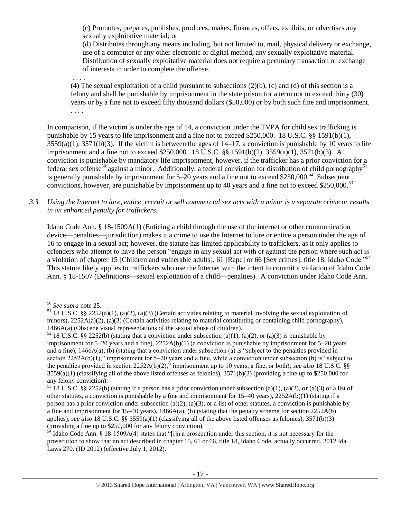(c) Promotes, prepares, publishes, produces, makes, finances, offers, exhibits, or advertises any sexually exploitative material; or

(d) Distributes through any means including, but not limited to, mail, physical delivery or exchange, use of a computer or any other electronic or digital method, any sexually exploitative material. Distribution of sexually exploitative material does not require a pecuniary transaction or exchange of interests in order to complete the offense.

. . . .

(4) The sexual exploitation of a child pursuant to subsections  $(2)(b)$ , (c) and (d) of this section is a felony and shall be punishable by imprisonment in the state prison for a term not to exceed thirty (30) years or by a fine not to exceed fifty thousand dollars (\$50,000) or by both such fine and imprisonment. . . . .

In comparison, if the victim is under the age of 14, a conviction under the TVPA for child sex trafficking is punishable by 15 years to life imprisonment and a fine not to exceed \$250,000. 18 U.S.C. §§ 1591(b)(1),  $3559(a)(1)$ ,  $3571(b)(3)$ . If the victim is between the ages of  $14-17$ , a conviction is punishable by 10 years to life imprisonment and a fine not to exceed \$250,000. 18 U.S.C. §§ 1591(b)(2), 3559(a)(1), 3571(b)(3). A conviction is punishable by mandatory life imprisonment, however, if the trafficker has a prior conviction for a federal sex offense<sup>50</sup> against a minor. Additionally, a federal conviction for distribution of child pornography<sup>51</sup> is generally punishable by imprisonment for  $5-20$  years and a fine not to exceed \$250,000.<sup>52</sup> Subsequent convictions, however, are punishable by imprisonment up to 40 years and a fine not to exceed \$250,000.<sup>53</sup>

*3.3 Using the Internet to lure, entice, recruit or sell commercial sex acts with a minor is a separate crime or results in an enhanced penalty for traffickers.*

Idaho Code Ann. § 18-1509A(1) (Enticing a child through the use of the internet or other communication device—penalties—jurisdiction) makes it a crime to use the Internet to lure or entice a person under the age of 16 to engage in a sexual act; however, the statute has limited applicability to traffickers, as it only applies to offenders who attempt to have the person "engage in any sexual act with or against the person where such act is a violation of chapter 15 [Children and vulnerable adults], 61 [Rape] or 66 [Sex crimes], [title 18,](http://www.legislature.idaho.gov/idstat/Title18/T18.htm) Idaho Code."<sup>54</sup> This statute likely applies to traffickers who use the Internet with the intent to commit a violation of Idaho Code Ann. § 18-1507 (Definitions—sexual exploitation of a child—penalties). A conviction under Idaho Code Ann.

 $\overline{a}$ 

<sup>50</sup> *See supra* note [25.](#page-8-1) 

<sup>&</sup>lt;sup>51</sup> 18 U.S.C. §§ 2252(a)(1), (a)(2), (a)(3) (Certain activities relating to material involving the sexual exploitation of minors),  $2252A(a)(2)$ , (a)(3) (Certain activities relating to material constituting or containing child pornography), 1466A(a) (Obscene visual representations of the sexual abuse of children).

<sup>&</sup>lt;sup>52</sup> 18 U.S.C. §§ 2252(b) (stating that a conviction under subsection (a)(1), (a)(2), or (a)(3) is punishable by imprisonment for 5–20 years and a fine), 2252A(b)(1) (a conviction is punishable by imprisonment for 5–20 years and a fine),  $1466A(a)$ , (b) (stating that a conviction under subsection (a) is "subject to the penalties provided in section 2252A(b)(1)," imprisonment for 5–20 years and a fine, while a conviction under subsection (b) is "subject to the penalties provided in section 2252A(b)(2)," imprisonment up to 10 years, a fine, or both); *see also* 18 U.S.C. §§  $3559(a)(1)$  (classifying all of the above listed offenses as felonies),  $3571(b)(3)$  (providing a fine up to \$250,000 for any felony conviction).

<sup>&</sup>lt;sup>53</sup> 18 U.S.C. §§ 2252(b) (stating if a person has a prior conviction under subsection (a)(1), (a)(2), or (a)(3) or a list of other statutes, a conviction is punishable by a fine and imprisonment for 15–40 years), 2252A(b)(1) (stating if a person has a prior conviction under subsection (a)(2), (a)(3), or a list of other statutes, a conviction is punishable by a fine and imprisonment for  $15-40$  years),  $1466A(a)$ , (b) (stating that the penalty scheme for section  $2252A(b)$ applies); *see also* 18 U.S.C. §§ 3559(a)(1) (classifying all of the above listed offenses as felonies), 3571(b)(3) (providing a fine up to \$250,000 for any felony conviction).

 $54$  Idaho Code Ann. § 18-1509A(4) states that "[i]n a prosecution under this section, it is not necessary for the prosecution to show that an act described in chapter 15, 61 or 66, title 18, Idaho Code, actually occurred. 2012 Ida. Laws 270. (ID 2012) (effective July 1, 2012).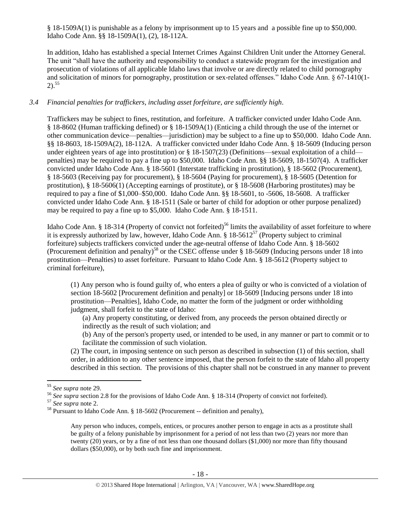§ 18-1509A(1) is punishable as a felony by imprisonment up to 15 years and a possible fine up to \$50,000. Idaho Code Ann. §§ 18-1509A(1), (2), 18-112A.

In addition, Idaho has established a special Internet Crimes Against Children Unit under the Attorney General. The unit "shall have the authority and responsibility to conduct a statewide program for the investigation and prosecution of violations of all applicable Idaho laws that involve or are directly related to child pornography and solicitation of minors for pornography, prostitution or sex-related offenses." Idaho Code Ann. § 67-1410(1- 2). 55

### *3.4 Financial penalties for traffickers, including asset forfeiture, are sufficiently high*.

Traffickers may be subject to fines, restitution, and forfeiture. A trafficker convicted under Idaho Code Ann. § 18-8602 (Human trafficking defined) or § 18-1509A(1) (Enticing a child through the use of the internet or other communication device—penalties—jurisdiction) may be subject to a fine up to \$50,000. Idaho Code Ann. §§ 18-8603, 18-1509A(2), 18-112A. A trafficker convicted under Idaho Code Ann. § 18-5609 (Inducing person under eighteen years of age into prostitution) or § 18-1507(23) (Definitions—sexual exploitation of a child penalties) may be required to pay a fine up to \$50,000. Idaho Code Ann. §§ 18-5609, 18-1507(4). A trafficker convicted under Idaho Code Ann. § 18-5601 (Interstate trafficking in prostitution), § 18-5602 (Procurement), § 18-5603 (Receiving pay for procurement), § 18-5604 (Paying for procurement), § 18-5605 (Detention for prostitution), § 18-5606(1) (Accepting earnings of prostitute), or § 18-5608 (Harboring prostitutes) may be required to pay a fine of \$1,000–\$50,000. Idaho Code Ann. §§ 18-5601, to -5606, 18-5608. A trafficker convicted under Idaho Code Ann. § 18-1511 (Sale or barter of child for adoption or other purpose penalized) may be required to pay a fine up to \$5,000. Idaho Code Ann. § 18-1511.

Idaho Code Ann. § 18-314 (Property of convict not forfeited)<sup>56</sup> limits the availability of asset forfeiture to where it is expressly authorized by law, however, Idaho Code Ann.  $\S 18-5612^{57}$  (Property subject to criminal forfeiture) subjects traffickers convicted under the age-neutral offense of Idaho Code Ann. § 18-5602 (Procurement definition and penalty)<sup>58</sup> or the CSEC offense under  $\S 18-5609$  (Inducing persons under 18 into prostitution—Penalties) to asset forfeiture. Pursuant to Idaho Code Ann. § 18-5612 (Property subject to criminal forfeiture),

(1) Any person who is found guilty of, who enters a plea of guilty or who is convicted of a violation of section 18-5602 [Procurement definition and penalty] or 18-5609 [Inducing persons under 18 into prostitution—Penalties], Idaho Code, no matter the form of the judgment or order withholding judgment, shall forfeit to the state of Idaho:

(a) Any property constituting, or derived from, any proceeds the person obtained directly or indirectly as the result of such violation; and

(b) Any of the person's property used, or intended to be used, in any manner or part to commit or to facilitate the commission of such violation.

(2) The court, in imposing sentence on such person as described in subsection (1) of this section, shall order, in addition to any other sentence imposed, that the person forfeit to the state of Idaho all property described in this section. The provisions of this chapter shall not be construed in any manner to prevent

Any person who induces, compels, entices, or procures another person to engage in acts as a prostitute shall be guilty of a felony punishable by imprisonment for a period of not less than two (2) years nor more than twenty (20) years, or by a fine of not less than one thousand dollars (\$1,000) nor more than fifty thousand dollars (\$50,000), or by both such fine and imprisonment.

 $\overline{\phantom{a}}$ <sup>55</sup> *See supra* note [29.](#page-9-0)

<sup>&</sup>lt;sup>56</sup> See supra section 2.8 for the provisions of Idaho Code Ann. § 18-314 (Property of convict not forfeited).

<sup>57</sup> *See supra* note [2.](#page-1-0)

<sup>58</sup> Pursuant to Idaho Code Ann. § 18-5602 (Procurement -- definition and penalty),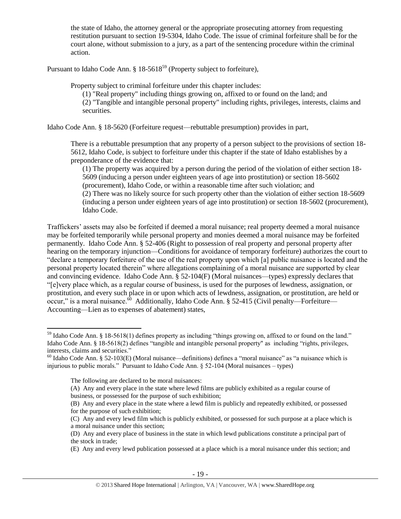the state of Idaho, the attorney general or the appropriate prosecuting attorney from requesting restitution pursuant to section 19-5304, Idaho Code. The issue of criminal forfeiture shall be for the court alone, without submission to a jury, as a part of the sentencing procedure within the criminal action.

Pursuant to Idaho Code Ann.  $\S 18-5618^{59}$  (Property subject to forfeiture),

Property subject to criminal forfeiture under this chapter includes:

(1) "Real property" including things growing on, affixed to or found on the land; and (2) "Tangible and intangible personal property" including rights, privileges, interests, claims and securities.

Idaho Code Ann. § 18-5620 (Forfeiture request—rebuttable presumption) provides in part,

There is a rebuttable presumption that any property of a person subject to the provisions of section 18- 5612, Idaho Code, is subject to forfeiture under this chapter if the state of Idaho establishes by a preponderance of the evidence that:

(1) The property was acquired by a person during the period of the violation of either section 18- 5609 (inducing a person under eighteen years of age into prostitution) or section 18-5602 (procurement), Idaho Code, or within a reasonable time after such violation; and (2) There was no likely source for such property other than the violation of either section 18-5609 (inducing a person under eighteen years of age into prostitution) or section 18-5602 (procurement), Idaho Code.

Traffickers' assets may also be forfeited if deemed a moral nuisance; real property deemed a moral nuisance may be forfeited temporarily while personal property and monies deemed a moral nuisance may be forfeited permanently. Idaho Code Ann. § 52-406 (Right to possession of real property and personal property after hearing on the temporary injunction—Conditions for avoidance of temporary forfeiture) authorizes the court to "declare a temporary forfeiture of the use of the real property upon which [a] public nuisance is located and the personal property located therein" where allegations complaining of a moral nuisance are supported by clear and convincing evidence. Idaho Code Ann. § 52-104(F) (Moral nuisances—types) expressly declares that "[e]very place which, as a regular course of business, is used for the purposes of lewdness, assignation, or prostitution, and every such place in or upon which acts of lewdness, assignation, or prostitution, are held or occur," is a moral nuisance. $\frac{60}{1}$  Additionally, Idaho Code Ann. § 52-415 (Civil penalty—Forfeiture— Accounting—Lien as to expenses of abatement) states,

(E) Any and every lewd publication possessed at a place which is a moral nuisance under this section; and

<span id="page-18-0"></span> $\overline{\phantom{a}}$  $59$  Idaho Code Ann. § 18-5618(1) defines property as including "things growing on, affixed to or found on the land." Idaho Code Ann. § 18-5618(2) defines "tangible and intangible personal property" as including "rights, privileges, interests, claims and securities."

 $^{60}$  Idaho Code Ann. § 52-103(E) (Moral nuisance—definitions) defines a "moral nuisance" as "a nuisance which is injurious to public morals." Pursuant to Idaho Code Ann. § 52-104 (Moral nuisances – types)

The following are declared to be moral nuisances:

<sup>(</sup>A) Any and every place in the state where lewd films are publicly exhibited as a regular course of business, or possessed for the purpose of such exhibition;

<sup>(</sup>B) Any and every place in the state where a lewd film is publicly and repeatedly exhibited, or possessed for the purpose of such exhibition;

<sup>(</sup>C) Any and every lewd film which is publicly exhibited, or possessed for such purpose at a place which is a moral nuisance under this section;

<sup>(</sup>D) Any and every place of business in the state in which lewd publications constitute a principal part of the stock in trade;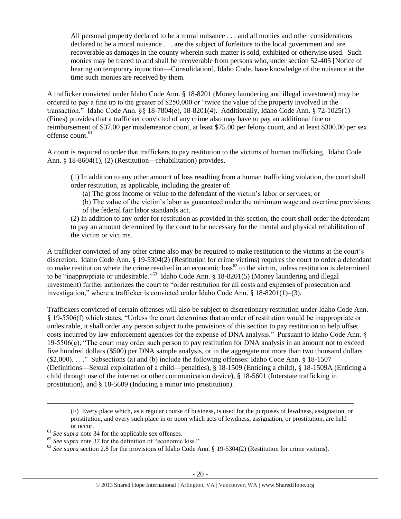All personal property declared to be a moral nuisance . . . and all monies and other considerations declared to be a moral nuisance . . . are the subject of forfeiture to the local government and are recoverable as damages in the county wherein such matter is sold, exhibited or otherwise used. Such monies may be traced to and shall be recoverable from persons who, under section 52-405 [Notice of hearing on temporary injunction—Consolidation], Idaho Code, have knowledge of the nuisance at the time such monies are received by them.

A trafficker convicted under Idaho Code Ann. § 18-8201 (Money laundering and illegal investment) may be ordered to pay a fine up to the greater of \$250,000 or "twice the value of the property involved in the transaction." Idaho Code Ann. §§ 18-7804(e), 18-8201(4). Additionally, Idaho Code Ann. § 72-1025(1) (Fines) provides that a trafficker convicted of any crime also may have to pay an additional fine or reimbursement of \$37.00 per misdemeanor count, at least \$75.00 per felony count, and at least \$300.00 per sex offense count.<sup>61</sup>

A court is required to order that traffickers to pay restitution to the victims of human trafficking. Idaho Code Ann. § 18-8604(1), (2) (Restitution—rehabilitation) provides,

(1) In addition to any other amount of loss resulting from a human trafficking violation, the court shall order restitution, as applicable, including the greater of:

(a) The gross income or value to the defendant of the victim's labor or services; or

(b) The value of the victim's labor as guaranteed under the minimum wage and overtime provisions of the federal fair labor standards act.

(2) In addition to any order for restitution as provided in this section, the court shall order the defendant to pay an amount determined by the court to be necessary for the mental and physical rehabilitation of the victim or victims.

A trafficker convicted of any other crime also may be required to make restitution to the victims at the court's discretion. Idaho Code Ann. § 19-5304(2) (Restitution for crime victims) requires the court to order a defendant to make restitution where the crime resulted in an economic  $loss^{62}$  to the victim, unless restitution is determined to be "inappropriate or undesirable."<sup>63</sup> Idaho Code Ann. § 18-8201(5) (Money laundering and illegal investment) further authorizes the court to "order restitution for all costs and expenses of prosecution and investigation," where a trafficker is convicted under Idaho Code Ann. § 18-8201(1)–(3).

Traffickers convicted of certain offenses will also be subject to discretionary restitution under Idaho Code Ann. § 19-5506(f) which states, "Unless the court determines that an order of restitution would be inappropriate or undesirable, it shall order any person subject to the provisions of this section to pay restitution to help offset costs incurred by law enforcement agencies for the expense of DNA analysis." Pursuant to Idaho Code Ann. § 19-5506(g), "The court may order such person to pay restitution for DNA analysis in an amount not to exceed five hundred dollars (\$500) per DNA sample analysis, or in the aggregate not more than two thousand dollars (\$2,000). . . ." Subsections (a) and (b) include the following offenses: Idaho Code Ann. § 18-1507 (Definitions—Sexual exploitation of a child—penalties), § 18-1509 (Enticing a child), § 18-1509A (Enticing a child through use of the internet or other communication device), § 18-5601 (Interstate trafficking in prostitution), and § 18-5609 (Inducing a minor into prostitution).

 $\overline{\phantom{a}}$ 

<sup>(</sup>F) Every place which, as a regular course of business, is used for the purposes of lewdness, assignation, or prostitution, and every such place in or upon which acts of lewdness, assignation, or prostitution, are held or occur.

<sup>&</sup>lt;sup>61</sup> See supra note [34](#page-10-0) for the applicable sex offenses.

<sup>&</sup>lt;sup>62</sup> See supra note [37](#page-11-0) for the definition of "economic loss."

<sup>&</sup>lt;sup>63</sup> See supra section 2.8 for the provisions of Idaho Code Ann. § 19-5304(2) (Restitution for crime victims).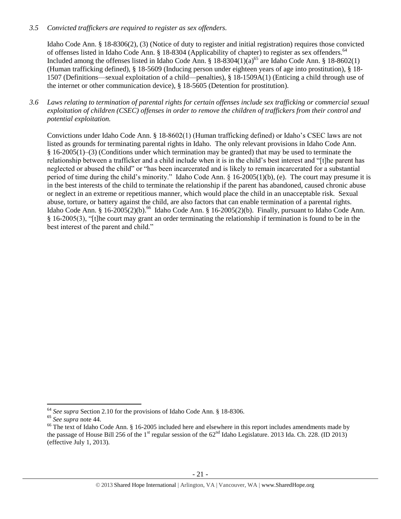## *3.5 Convicted traffickers are required to register as sex offenders.*

Idaho Code Ann. § 18-8306(2), (3) (Notice of duty to register and initial registration) requires those convicted of offenses listed in Idaho Code Ann. § 18-8304 (Applicability of chapter) to register as sex offenders.<sup>64</sup> Included among the offenses listed in Idaho Code Ann. § 18-8304(1)( $a$ )<sup>65</sup> are Idaho Code Ann. § 18-8602(1) (Human trafficking defined), § 18-5609 (Inducing person under eighteen years of age into prostitution), § 18- 1507 (Definitions—sexual exploitation of a child—penalties), § 18-1509A(1) (Enticing a child through use of the internet or other communication device), § 18-5605 (Detention for prostitution).

*3.6 Laws relating to termination of parental rights for certain offenses include sex trafficking or commercial sexual exploitation of children (CSEC) offenses in order to remove the children of traffickers from their control and potential exploitation.* 

Convictions under Idaho Code Ann. § 18-8602(1) (Human trafficking defined) or Idaho's CSEC laws are not listed as grounds for terminating parental rights in Idaho. The only relevant provisions in Idaho Code Ann. § 16-2005(1)–(3) (Conditions under which termination may be granted) that may be used to terminate the relationship between a trafficker and a child include when it is in the child's best interest and "[t]he parent has neglected or abused the child" or "has been incarcerated and is likely to remain incarcerated for a substantial period of time during the child's minority." Idaho Code Ann. § 16-2005(1)(b), (e). The court may presume it is in the best interests of the child to terminate the relationship if the parent has abandoned, caused chronic abuse or neglect in an extreme or repetitious manner, which would place the child in an unacceptable risk. Sexual abuse, torture, or battery against the child, are also factors that can enable termination of a parental rights. Idaho Code Ann. § 16-2005(2)(b).<sup>66</sup> Idaho Code Ann. § 16-2005(2)(b). Finally, pursuant to Idaho Code Ann. § 16-2005(3), "[t]he court may grant an order terminating the relationship if termination is found to be in the best interest of the parent and child."

 $\overline{\phantom{a}}$ 

<sup>64</sup> *See supra* Section 2.10 for the provisions of Idaho Code Ann. § 18-8306.

<sup>65</sup> *See supra* note [44.](#page-13-0)

<sup>&</sup>lt;sup>66</sup> The text of Idaho Code Ann. § 16-2005 included here and elsewhere in this report includes amendments made by the passage of House Bill 256 of the 1<sup>st</sup> regular session of the  $62<sup>nd</sup>$  Idaho Legislature. 2013 Ida. Ch. 228. (ID 2013) (effective July 1, 2013).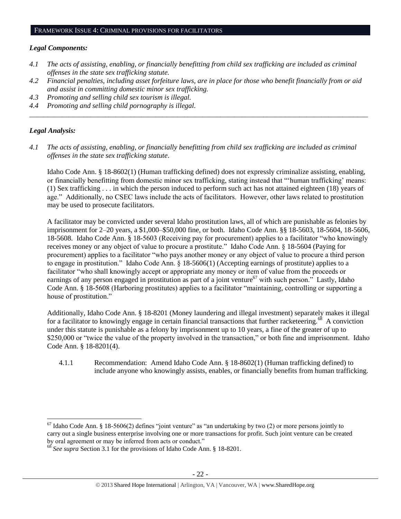#### *Legal Components:*

- *4.1 The acts of assisting, enabling, or financially benefitting from child sex trafficking are included as criminal offenses in the state sex trafficking statute.*
- *4.2 Financial penalties, including asset forfeiture laws, are in place for those who benefit financially from or aid and assist in committing domestic minor sex trafficking.*

*\_\_\_\_\_\_\_\_\_\_\_\_\_\_\_\_\_\_\_\_\_\_\_\_\_\_\_\_\_\_\_\_\_\_\_\_\_\_\_\_\_\_\_\_\_\_\_\_\_\_\_\_\_\_\_\_\_\_\_\_\_\_\_\_\_\_\_\_\_\_\_\_\_\_\_\_\_\_\_\_\_\_\_\_\_\_\_\_\_\_\_\_\_\_*

- *4.3 Promoting and selling child sex tourism is illegal.*
- *4.4 Promoting and selling child pornography is illegal.*

#### *Legal Analysis:*

 $\overline{a}$ 

*4.1 The acts of assisting, enabling, or financially benefitting from child sex trafficking are included as criminal offenses in the state sex trafficking statute*.

Idaho Code Ann. § 18-8602(1) (Human trafficking defined) does not expressly criminalize assisting, enabling, or financially benefitting from domestic minor sex trafficking, stating instead that "'human trafficking' means: (1) Sex trafficking . . . in which the person induced to perform such act has not attained eighteen (18) years of age." Additionally, no CSEC laws include the acts of facilitators. However, other laws related to prostitution may be used to prosecute facilitators.

A facilitator may be convicted under several Idaho prostitution laws, all of which are punishable as felonies by imprisonment for 2–20 years, a \$1,000–\$50,000 fine, or both. Idaho Code Ann. §§ 18-5603, 18-5604, 18-5606, 18-5608. Idaho Code Ann. § 18-5603 (Receiving pay for procurement) applies to a facilitator "who knowingly receives money or any object of value to procure a prostitute." Idaho Code Ann. § 18-5604 (Paying for procurement) applies to a facilitator "who pays another money or any object of value to procure a third person to engage in prostitution." Idaho Code Ann. § 18-5606(1) (Accepting earnings of prostitute) applies to a facilitator "who shall knowingly accept or appropriate any money or item of value from the proceeds or earnings of any person engaged in prostitution as part of a joint venture<sup>67</sup> with such person." Lastly, Idaho Code Ann. § 18-5608 (Harboring prostitutes) applies to a facilitator "maintaining, controlling or supporting a house of prostitution."

Additionally, Idaho Code Ann. § 18-8201 (Money laundering and illegal investment) separately makes it illegal for a facilitator to knowingly engage in certain financial transactions that further racketeering.<sup>68</sup> A conviction under this statute is punishable as a felony by imprisonment up to 10 years, a fine of the greater of up to \$250,000 or "twice the value of the property involved in the transaction," or both fine and imprisonment. Idaho Code Ann. § 18-8201(4).

4.1.1 Recommendation: Amend Idaho Code Ann. § 18-8602(1) (Human trafficking defined) to include anyone who knowingly assists, enables, or financially benefits from human trafficking.

 $^{67}$  Idaho Code Ann. § 18-5606(2) defines "joint venture" as "an undertaking by two (2) or more persons jointly to carry out a single business enterprise involving one or more transactions for profit. Such joint venture can be created by oral agreement or may be inferred from acts or conduct."

<sup>68</sup> *See supra* Section 3.1 for the provisions of Idaho Code Ann. § 18-8201.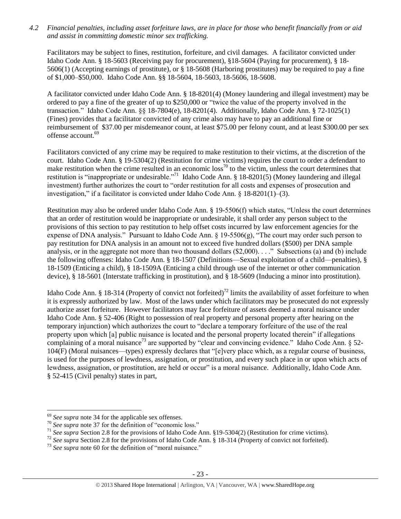*4.2 Financial penalties, including asset forfeiture laws, are in place for those who benefit financially from or aid and assist in committing domestic minor sex trafficking.*

Facilitators may be subject to fines, restitution, forfeiture, and civil damages. A facilitator convicted under Idaho Code Ann. § 18-5603 (Receiving pay for procurement), §18-5604 (Paying for procurement), § 18- 5606(1) (Accepting earnings of prostitute), or § 18-5608 (Harboring prostitutes) may be required to pay a fine of \$1,000–\$50,000. Idaho Code Ann. §§ 18-5604, 18-5603, 18-5606, 18-5608.

A facilitator convicted under Idaho Code Ann. § 18-8201(4) (Money laundering and illegal investment) may be ordered to pay a fine of the greater of up to \$250,000 or "twice the value of the property involved in the transaction." Idaho Code Ann. §§ 18-7804(e), 18-8201(4). Additionally, Idaho Code Ann. § 72-1025(1) (Fines) provides that a facilitator convicted of any crime also may have to pay an additional fine or reimbursement of \$37.00 per misdemeanor count, at least \$75.00 per felony count, and at least \$300.00 per sex offense account.<sup>69</sup>

Facilitators convicted of any crime may be required to make restitution to their victims, at the discretion of the court. Idaho Code Ann. § 19-5304(2) (Restitution for crime victims) requires the court to order a defendant to make restitution when the crime resulted in an economic  $loss^{70}$  to the victim, unless the court determines that restitution is "inappropriate or undesirable."<sup>71</sup> Idaho Code Ann. § 18-8201(5) (Money laundering and illegal investment) further authorizes the court to "order restitution for all costs and expenses of prosecution and investigation," if a facilitator is convicted under Idaho Code Ann. § 18-8201(1)–(3).

Restitution may also be ordered under Idaho Code Ann. § 19-5506(f) which states, "Unless the court determines that an order of restitution would be inappropriate or undesirable, it shall order any person subject to the provisions of this section to pay restitution to help offset costs incurred by law enforcement agencies for the expense of DNA analysis." Pursuant to Idaho Code Ann. § 19-5506(g), "The court may order such person to pay restitution for DNA analysis in an amount not to exceed five hundred dollars (\$500) per DNA sample analysis, or in the aggregate not more than two thousand dollars (\$2,000). . . ." Subsections (a) and (b) include the following offenses: Idaho Code Ann. § 18-1507 (Definitions—Sexual exploitation of a child—penalties), § 18-1509 (Enticing a child), § 18-1509A (Enticing a child through use of the internet or other communication device), § 18-5601 (Interstate trafficking in prostitution), and § 18-5609 (Inducing a minor into prostitution).

Idaho Code Ann. § 18-314 (Property of convict not forfeited)<sup>72</sup> limits the availability of asset forfeiture to when it is expressly authorized by law. Most of the laws under which facilitators may be prosecuted do not expressly authorize asset forfeiture. However facilitators may face forfeiture of assets deemed a moral nuisance under Idaho Code Ann. § 52-406 (Right to possession of real property and personal property after hearing on the temporary injunction) which authorizes the court to "declare a temporary forfeiture of the use of the real property upon which [a] public nuisance is located and the personal property located therein" if allegations complaining of a moral nuisance<sup>73</sup> are supported by "clear and convincing evidence." Idaho Code Ann.  $\S$  52-104(F) (Moral nuisances—types) expressly declares that "[e]very place which, as a regular course of business, is used for the purposes of lewdness, assignation, or prostitution, and every such place in or upon which acts of lewdness, assignation, or prostitution, are held or occur" is a moral nuisance. Additionally, Idaho Code Ann. § 52-415 (Civil penalty) states in part,

 $\overline{\phantom{a}}$ 

<sup>69</sup> *See supra* note [34](#page-10-0) for the applicable sex offenses.

<sup>&</sup>lt;sup>70</sup> See supra note [37](#page-11-0) for the definition of "economic loss."

<sup>71</sup> *See supra* Section 2.8 for the provisions of Idaho Code Ann. §19-5304(2) (Restitution for crime victims).

<sup>&</sup>lt;sup>72</sup> See supra Section 2.8 for the provisions of Idaho Code Ann. § 18-314 (Property of convict not forfeited).

<sup>&</sup>lt;sup>73</sup> See supra note [60](#page-18-0) for the definition of "moral nuisance."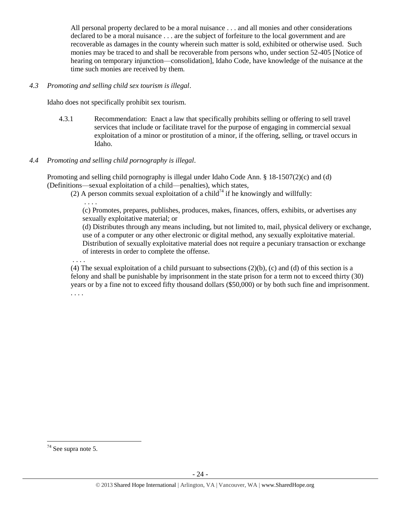All personal property declared to be a moral nuisance . . . and all monies and other considerations declared to be a moral nuisance . . . are the subject of forfeiture to the local government and are recoverable as damages in the county wherein such matter is sold, exhibited or otherwise used. Such monies may be traced to and shall be recoverable from persons who, under section 52-405 [Notice of hearing on temporary injunction—consolidation], Idaho Code, have knowledge of the nuisance at the time such monies are received by them.

### *4.3 Promoting and selling child sex tourism is illegal*.

Idaho does not specifically prohibit sex tourism.

4.3.1 Recommendation: Enact a law that specifically prohibits selling or offering to sell travel services that include or facilitate travel for the purpose of engaging in commercial sexual exploitation of a minor or prostitution of a minor, if the offering, selling, or travel occurs in Idaho.

# *4.4 Promoting and selling child pornography is illegal*.

Promoting and selling child pornography is illegal under Idaho Code Ann. § 18-1507(2)(c) and (d) (Definitions—sexual exploitation of a child—penalties), which states,

(2) A person commits sexual exploitation of a child<sup>74</sup> if he knowingly and willfully:

(c) Promotes, prepares, publishes, produces, makes, finances, offers, exhibits, or advertises any sexually exploitative material; or

(d) Distributes through any means including, but not limited to, mail, physical delivery or exchange, use of a computer or any other electronic or digital method, any sexually exploitative material. Distribution of sexually exploitative material does not require a pecuniary transaction or exchange of interests in order to complete the offense.

. . . .

. . . .

(4) The sexual exploitation of a child pursuant to subsections  $(2)(b)$ ,  $(c)$  and  $(d)$  of this section is a felony and shall be punishable by imprisonment in the state prison for a term not to exceed thirty (30) years or by a fine not to exceed fifty thousand dollars (\$50,000) or by both such fine and imprisonment. . . . .

 $\overline{\phantom{a}}$  $74$  See supra note [5.](#page-1-1)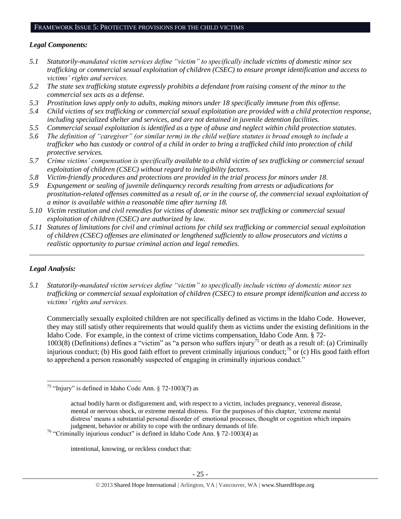## FRAMEWORK ISSUE 5: PROTECTIVE PROVISIONS FOR THE CHILD VICTIMS

## *Legal Components:*

- *5.1 Statutorily-mandated victim services define "victim" to specifically include victims of domestic minor sex trafficking or commercial sexual exploitation of children (CSEC) to ensure prompt identification and access to victims' rights and services.*
- *5.2 The state sex trafficking statute expressly prohibits a defendant from raising consent of the minor to the commercial sex acts as a defense.*
- *5.3 Prostitution laws apply only to adults, making minors under 18 specifically immune from this offense.*
- *5.4 Child victims of sex trafficking or commercial sexual exploitation are provided with a child protection response, including specialized shelter and services, and are not detained in juvenile detention facilities.*
- *5.5 Commercial sexual exploitation is identified as a type of abuse and neglect within child protection statutes.*
- *5.6 The definition of "caregiver" (or similar term) in the child welfare statutes is broad enough to include a trafficker who has custody or control of a child in order to bring a trafficked child into protection of child protective services.*
- *5.7 Crime victims' compensation is specifically available to a child victim of sex trafficking or commercial sexual exploitation of children (CSEC) without regard to ineligibility factors.*
- *5.8 Victim-friendly procedures and protections are provided in the trial process for minors under 18.*
- *5.9 Expungement or sealing of juvenile delinquency records resulting from arrests or adjudications for prostitution-related offenses committed as a result of, or in the course of, the commercial sexual exploitation of a minor is available within a reasonable time after turning 18.*
- *5.10 Victim restitution and civil remedies for victims of domestic minor sex trafficking or commercial sexual exploitation of children (CSEC) are authorized by law.*
- *5.11 Statutes of limitations for civil and criminal actions for child sex trafficking or commercial sexual exploitation of children (CSEC) offenses are eliminated or lengthened sufficiently to allow prosecutors and victims a realistic opportunity to pursue criminal action and legal remedies.*

*\_\_\_\_\_\_\_\_\_\_\_\_\_\_\_\_\_\_\_\_\_\_\_\_\_\_\_\_\_\_\_\_\_\_\_\_\_\_\_\_\_\_\_\_\_\_\_\_\_\_\_\_\_\_\_\_\_\_\_\_\_\_\_\_\_\_\_\_\_\_\_\_\_\_\_\_\_\_\_\_\_\_\_\_\_\_\_\_\_\_\_\_\_*

# *Legal Analysis:*

l

*5.1 Statutorily-mandated victim services define "victim" to specifically include victims of domestic minor sex trafficking or commercial sexual exploitation of children (CSEC) to ensure prompt identification and access to victims' rights and services.*

Commercially sexually exploited children are not specifically defined as victims in the Idaho Code. However, they may still satisfy other requirements that would qualify them as victims under the existing definitions in the Idaho Code. For example, in the context of crime victims compensation, Idaho Code Ann. § 72- 1003(8) (Definitions) defines a "victim" as "a person who suffers injury<sup>75</sup> or death as a result of: (a) Criminally injurious conduct; (b) His good faith effort to prevent criminally injurious conduct;<sup>76</sup> or (c) His good faith effort to apprehend a person reasonably suspected of engaging in criminally injurious conduct."

intentional, knowing, or reckless conduct that:

<sup>&</sup>lt;sup>75</sup> "Injury" is defined in Idaho Code Ann. § 72-1003(7) as

actual bodily harm or disfigurement and, with respect to a victim, includes pregnancy, venereal disease, mental or nervous shock, or extreme mental distress. For the purposes of this chapter, 'extreme mental distress' means a substantial personal disorder of emotional processes, thought or cognition which impairs judgment, behavior or ability to cope with the ordinary demands of life.

<sup>&</sup>lt;sup>76</sup> "Criminally injurious conduct" is defined in Idaho Code Ann. § 72-1003(4) as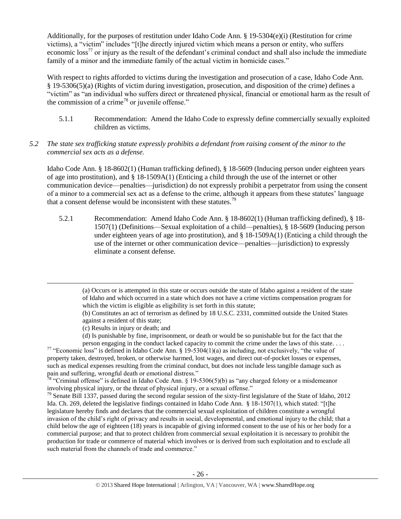Additionally, for the purposes of restitution under Idaho Code Ann.  $\S$  19-5304(e)(i) (Restitution for crime victims), a "victim" includes "[t]he directly injured victim which means a person or entity, who suffers economic loss<sup>77</sup> or injury as the result of the defendant's criminal conduct and shall also include the immediate family of a minor and the immediate family of the actual victim in homicide cases."

With respect to rights afforded to victims during the investigation and prosecution of a case, Idaho Code Ann. § 19-5306(5)(a) (Rights of victim during investigation, prosecution, and disposition of the crime) defines a "victim" as "an individual who suffers direct or threatened physical, financial or emotional harm as the result of the commission of a crime<sup>78</sup> or juvenile offense."

- 5.1.1 Recommendation: Amend the Idaho Code to expressly define commercially sexually exploited children as victims.
- *5.2 The state sex trafficking statute expressly prohibits a defendant from raising consent of the minor to the commercial sex acts as a defense.*

Idaho Code Ann. § 18-8602(1) (Human trafficking defined), § 18-5609 (Inducing person under eighteen years of age into prostitution), and § 18-1509A(1) (Enticing a child through the use of the internet or other communication device—penalties—jurisdiction) do not expressly prohibit a perpetrator from using the consent of a minor to a commercial sex act as a defense to the crime, although it appears from these statutes' language that a consent defense would be inconsistent with these statutes.<sup>79</sup>

5.2.1 Recommendation: Amend Idaho Code Ann. § 18-8602(1) (Human trafficking defined), § 18- 1507(1) (Definitions—Sexual exploitation of a child—penalties), § 18-5609 (Inducing person under eighteen years of age into prostitution), and § 18-1509A(1) (Enticing a child through the use of the internet or other communication device—penalties—jurisdiction) to expressly eliminate a consent defense.

 $\overline{\phantom{a}}$ 

<sup>77</sup> "Economic loss" is defined in Idaho Code Ann. § 19-5304(1)(a) as including, not exclusively, "the value of property taken, destroyed, broken, or otherwise harmed, lost wages, and direct out-of-pocket losses or expenses, such as medical expenses resulting from the criminal conduct, but does not include less tangible damage such as pain and suffering, wrongful death or emotional distress."

<sup>78</sup> "Criminal offense" is defined in Idaho Code Ann. § 19-5306(5)(b) as "any charged felony or a misdemeanor involving physical injury, or the threat of physical injury, or a sexual offense."

 $79$  Senate Bill 1337, passed during the second regular session of the sixty-first legislature of the State of Idaho, 2012 Ida. Ch. 269, deleted the legislative findings contained in Idaho Code Ann. § 18-1507(1), which stated: "[t]he legislature hereby finds and declares that the commercial sexual exploitation of children constitute a wrongful invasion of the child's right of privacy and results in social, developmental, and emotional injury to the child; that a child below the age of eighteen (18) years is incapable of giving informed consent to the use of his or her body for a commercial purpose; and that to protect children from commercial sexual exploitation it is necessary to prohibit the production for trade or commerce of material which involves or is derived from such exploitation and to exclude all such material from the channels of trade and commerce."

<sup>(</sup>a) Occurs or is attempted in this state or occurs outside the state of Idaho against a resident of the state of Idaho and which occurred in a state which does not have a crime victims compensation program for which the victim is eligible as eligibility is set forth in this statute;

<sup>(</sup>b) Constitutes an act of terrorism as defined by 18 U.S.C. 2331, committed outside the United States against a resident of this state;

<sup>(</sup>c) Results in injury or death; and

<sup>(</sup>d) Is punishable by fine, imprisonment, or death or would be so punishable but for the fact that the person engaging in the conduct lacked capacity to commit the crime under the laws of this state. . . .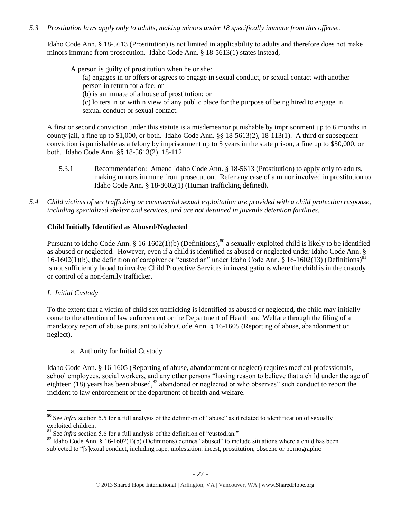# *5.3 Prostitution laws apply only to adults, making minors under 18 specifically immune from this offense.*

Idaho Code Ann. § 18-5613 (Prostitution) is not limited in applicability to adults and therefore does not make minors immune from prosecution. Idaho Code Ann. § 18-5613(1) states instead,

A person is guilty of prostitution when he or she: (a) engages in or offers or agrees to engage in sexual conduct, or sexual contact with another person in return for a fee; or (b) is an inmate of a house of prostitution; or (c) loiters in or within view of any public place for the purpose of being hired to engage in sexual conduct or sexual contact.

A first or second conviction under this statute is a misdemeanor punishable by imprisonment up to 6 months in county jail, a fine up to \$1,000, or both. Idaho Code Ann. §§ 18-5613(2), 18-113(1). A third or subsequent conviction is punishable as a felony by imprisonment up to 5 years in the state prison, a fine up to \$50,000, or both. Idaho Code Ann. §§ 18-5613(2), 18-112.

- 5.3.1 Recommendation: Amend Idaho Code Ann. § 18-5613 (Prostitution) to apply only to adults, making minors immune from prosecution. Refer any case of a minor involved in prostitution to Idaho Code Ann. § 18-8602(1) (Human trafficking defined).
- *5.4 Child victims of sex trafficking or commercial sexual exploitation are provided with a child protection response, including specialized shelter and services, and are not detained in juvenile detention facilities.*

# **Child Initially Identified as Abused/Neglected**

Pursuant to Idaho Code Ann. § 16-1602(1)(b) (Definitions),<sup>80</sup> a sexually exploited child is likely to be identified as abused or neglected. However, even if a child is identified as abused or neglected under Idaho Code Ann. § 16-1602(1)(b), the definition of caregiver or "custodian" under Idaho Code Ann. § 16-1602(13) (Definitions)<sup>81</sup> is not sufficiently broad to involve Child Protective Services in investigations where the child is in the custody or control of a non-family trafficker.

# *I. Initial Custody*

To the extent that a victim of child sex trafficking is identified as abused or neglected, the child may initially come to the attention of law enforcement or the Department of Health and Welfare through the filing of a mandatory report of abuse pursuant to Idaho Code Ann. § 16-1605 (Reporting of abuse, abandonment or neglect).

a. Authority for Initial Custody

Idaho Code Ann. § 16-1605 (Reporting of abuse, abandonment or neglect) requires medical professionals, school employees, social workers, and any other persons "having reason to believe that a child under the age of eighteen  $(18)$  years has been abused,<sup>82</sup> abandoned or neglected or who observes" such conduct to report the incident to law enforcement or the department of health and welfare.

 $\overline{\phantom{a}}$ <sup>80</sup> See *infra* section 5.5 for a full analysis of the definition of "abuse" as it related to identification of sexually exploited children.

<sup>&</sup>lt;sup>81</sup> See *infra* section 5.6 for a full analysis of the definition of "custodian."

 $82$  Idaho Code Ann.  $§$  16-1602(1)(b) (Definitions) defines "abused" to include situations where a child has been subjected to "[s]exual conduct, including rape, molestation, incest, prostitution, obscene or pornographic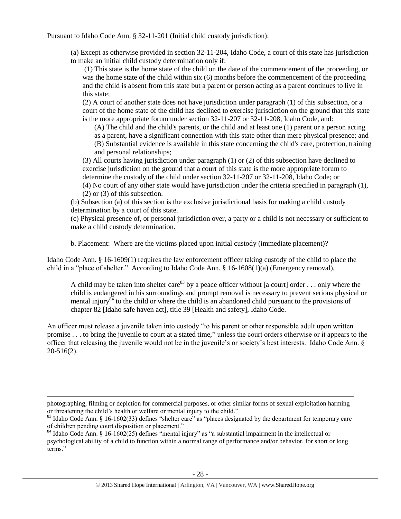Pursuant to Idaho Code Ann. § 32-11-201 (Initial child custody jurisdiction):

(a) Except as otherwise provided in section 32-11-204, Idaho Code, a court of this state has jurisdiction to make an initial child custody determination only if:

(1) This state is the home state of the child on the date of the commencement of the proceeding, or was the home state of the child within six (6) months before the commencement of the proceeding and the child is absent from this state but a parent or person acting as a parent continues to live in this state;

(2) A court of another state does not have jurisdiction under paragraph (1) of this subsection, or a court of the home state of the child has declined to exercise jurisdiction on the ground that this state is the more appropriate forum under section 32-11-207 or 32-11-208, Idaho Code, and:

(A) The child and the child's parents, or the child and at least one (1) parent or a person acting as a parent, have a significant connection with this state other than mere physical presence; and (B) Substantial evidence is available in this state concerning the child's care, protection, training and personal relationships;

(3) All courts having jurisdiction under paragraph (1) or (2) of this subsection have declined to exercise jurisdiction on the ground that a court of this state is the more appropriate forum to determine the custody of the child under section 32-11-207 or 32-11-208, Idaho Code; or

(4) No court of any other state would have jurisdiction under the criteria specified in paragraph (1), (2) or (3) of this subsection.

(b) Subsection (a) of this section is the exclusive jurisdictional basis for making a child custody determination by a court of this state.

(c) Physical presence of, or personal jurisdiction over, a party or a child is not necessary or sufficient to make a child custody determination.

b. Placement: Where are the victims placed upon initial custody (immediate placement)?

Idaho Code Ann. § 16-1609(1) requires the law enforcement officer taking custody of the child to place the child in a "place of shelter." According to Idaho Code Ann. § 16-1608(1)(a) (Emergency removal),

<span id="page-27-0"></span>A child may be taken into shelter care<sup>83</sup> by a peace officer without [a court] order . . . only where the child is endangered in his surroundings and prompt removal is necessary to prevent serious physical or mental injury<sup>84</sup> to the child or where the child is an abandoned child pursuant to the provisions of chapter 82 [Idaho safe haven act], title 39 [Health and safety], Idaho Code.

An officer must release a juvenile taken into custody "to his parent or other responsible adult upon written promise . . . to bring the juvenile to court at a stated time," unless the court orders otherwise or it appears to the officer that releasing the juvenile would not be in the juvenile's or society's best interests. Idaho Code Ann. § 20-516(2).

 $\overline{\phantom{a}}$ 

photographing, filming or depiction for commercial purposes, or other similar forms of sexual exploitation harming or threatening the child's health or welfare or mental injury to the child."

<sup>&</sup>lt;sup>83</sup> Idaho Code Ann. § 16-1602(33) defines "shelter care" as "places designated by the department for temporary care of children pending court disposition or placement."

<sup>&</sup>lt;sup>84</sup> Idaho Code Ann. § 16-1602(25) defines "mental injury" as "a substantial impairment in the intellectual or psychological ability of a child to function within a normal range of performance and/or behavior, for short or long terms<sup>"</sup>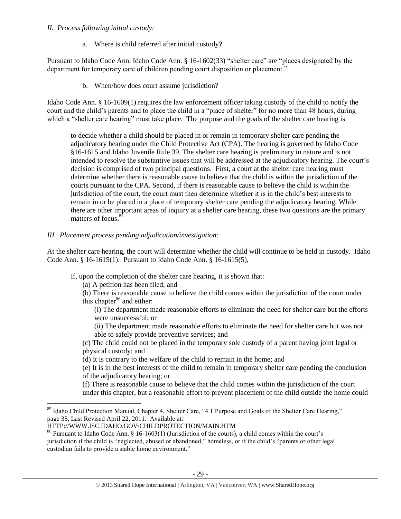## *II. Process following initial custody:*

a. Where is child referred after initial custody**?**

Pursuant to Idaho Code Ann. Idaho Code Ann. § 16-1602(33) "shelter care" are "places designated by the department for temporary care of children pending court disposition or placement."

b. When/how does court assume jurisdiction?

Idaho Code Ann. § 16-1609(1) requires the law enforcement officer taking custody of the child to notify the court and the child's parents and to place the child in a "place of shelter" for no more than 48 hours, during which a "shelter care hearing" must take place. The purpose and the goals of the shelter care hearing is

to decide whether a child should be placed in or remain in temporary shelter care pending the adjudicatory hearing under the Child Protective Act (CPA). The hearing is governed by Idaho Code §16-1615 and Idaho Juvenile Rule 39. The shelter care hearing is preliminary in nature and is not intended to resolve the substantive issues that will be addressed at the adjudicatory hearing. The court's decision is comprised of two principal questions. First, a court at the shelter care hearing must determine whether there is reasonable cause to believe that the child is within the jurisdiction of the courts pursuant to the CPA. Second, if there is reasonable cause to believe the child is within the jurisdiction of the court, the court must then determine whether it is in the child's best interests to remain in or be placed in a place of temporary shelter care pending the adjudicatory hearing. While there are other important areas of inquiry at a shelter care hearing, these two questions are the primary matters of focus.<sup>85</sup>

### *III. Placement process pending adjudication/investigation:*

At the shelter care hearing, the court will determine whether the child will continue to be held in custody. Idaho Code Ann. § 16-1615(1). Pursuant to Idaho Code Ann. § 16-1615(5),

If, upon the completion of the shelter care hearing, it is shown that:

- (a) A petition has been filed; and
- (b) There is reasonable cause to believe the child comes within the jurisdiction of the court under this chapter $86$  and either:
	- (i) The department made reasonable efforts to eliminate the need for shelter care but the efforts were unsuccessful; or

<span id="page-28-0"></span>(ii) The department made reasonable efforts to eliminate the need for shelter care but was not able to safely provide preventive services; and

(c) The child could not be placed in the temporary sole custody of a parent having joint legal or physical custody; and

(d) It is contrary to the welfare of the child to remain in the home; and

(e) It is in the best interests of the child to remain in temporary shelter care pending the conclusion of the adjudicatory hearing; or

(f) There is reasonable cause to believe that the child comes within the jurisdiction of the court under this chapter, but a reasonable effort to prevent placement of the child outside the home could

 $\overline{\phantom{a}}$ 

<sup>&</sup>lt;sup>85</sup> Idaho Child Protection Manual, Chapter 4, Shelter Care, "4.1 Purpose and Goals of the Shelter Care Hearing," page 35, Last Revised April 22, 2011. Available at:

HTTP://WWW.ISC.IDAHO.GOV/CHILDPROTECTION/MAIN.HTM

<sup>86</sup> Pursuant to Idaho Code Ann. § 16-1603(1) (Jurisdiction of the courts), a child comes within the court's jurisdiction if the child is "neglected, abused or abandoned," homeless, or if the child's "parents or other legal custodian fails to provide a stable home environment."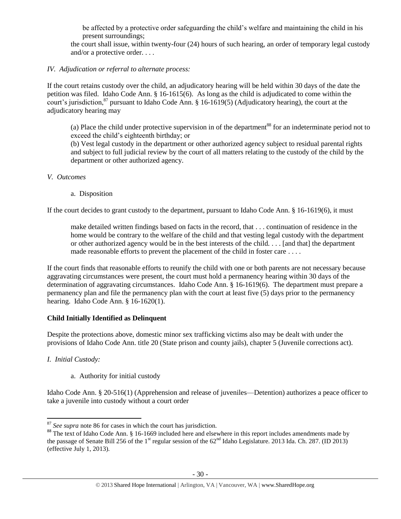be affected by a protective order safeguarding the child's welfare and maintaining the child in his present surroundings;

the court shall issue, within twenty-four (24) hours of such hearing, an order of temporary legal custody and/or a protective order. . . .

# *IV. Adjudication or referral to alternate process:*

If the court retains custody over the child, an adjudicatory hearing will be held within 30 days of the date the petition was filed. Idaho Code Ann. § 16-1615(6). As long as the child is adjudicated to come within the court's jurisdiction,<sup>87</sup> pursuant to Idaho Code Ann. § 16-1619(5) (Adjudicatory hearing), the court at the adjudicatory hearing may

(a) Place the child under protective supervision in of the department<sup>88</sup> for an indeterminate period not to exceed the child's eighteenth birthday; or

(b) Vest legal custody in the department or other authorized agency subject to residual parental rights and subject to full judicial review by the court of all matters relating to the custody of the child by the department or other authorized agency.

#### *V. Outcomes*

a. Disposition

If the court decides to grant custody to the department, pursuant to Idaho Code Ann. § 16-1619(6), it must

make detailed written findings based on facts in the record, that . . . continuation of residence in the home would be contrary to the welfare of the child and that vesting legal custody with the department or other authorized agency would be in the best interests of the child. . . . [and that] the department made reasonable efforts to prevent the placement of the child in foster care . . . .

If the court finds that reasonable efforts to reunify the child with one or both parents are not necessary because aggravating circumstances were present, the court must hold a permanency hearing within 30 days of the determination of aggravating circumstances. Idaho Code Ann. § 16-1619(6). The department must prepare a permanency plan and file the permanency plan with the court at least five (5) days prior to the permanency hearing. Idaho Code Ann. § 16-1620(1).

#### **Child Initially Identified as Delinquent**

Despite the protections above, domestic minor sex trafficking victims also may be dealt with under the provisions of Idaho Code Ann. title 20 (State prison and county jails), chapter 5 (Juvenile corrections act).

*I. Initial Custody:*

a. Authority for initial custody

Idaho Code Ann. § 20-516(1) (Apprehension and release of juveniles—Detention) authorizes a peace officer to take a juvenile into custody without a court order

 $\overline{a}$ <sup>87</sup> See supra note [86](#page-28-0) for cases in which the court has jurisdiction.

<sup>&</sup>lt;sup>88</sup> The text of Idaho Code Ann. § 16-1669 included here and elsewhere in this report includes amendments made by the passage of Senate Bill 256 of the 1<sup>st</sup> regular session of the  $62<sup>nd</sup>$  Idaho Legislature. 2013 Ida. Ch. 287. (ID 2013) (effective July 1, 2013).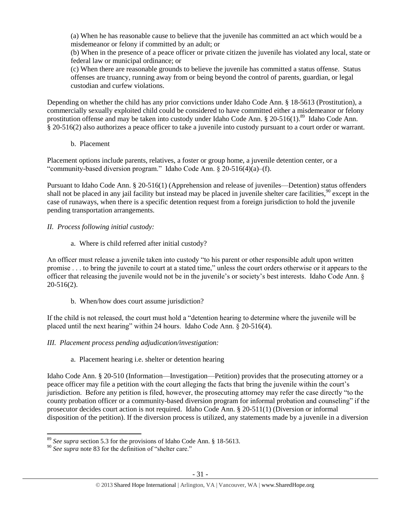(a) When he has reasonable cause to believe that the juvenile has committed an act which would be a misdemeanor or felony if committed by an adult; or

(b) When in the presence of a peace officer or private citizen the juvenile has violated any local, state or federal law or municipal ordinance; or

(c) When there are reasonable grounds to believe the juvenile has committed a status offense. Status offenses are truancy, running away from or being beyond the control of parents, guardian, or legal custodian and curfew violations.

Depending on whether the child has any prior convictions under Idaho Code Ann. § 18-5613 (Prostitution), a commercially sexually exploited child could be considered to have committed either a misdemeanor or felony prostitution offense and may be taken into custody under Idaho Code Ann. § 20-516(1).<sup>89</sup> Idaho Code Ann. § 20-516(2) also authorizes a peace officer to take a juvenile into custody pursuant to a court order or warrant.

b. Placement

Placement options include parents, relatives, a foster or group home, a juvenile detention center, or a "community-based diversion program." Idaho Code Ann. § 20-516(4)(a)–(f).

Pursuant to Idaho Code Ann. § 20-516(1) (Apprehension and release of juveniles—Detention) status offenders shall not be placed in any jail facility but instead may be placed in juvenile shelter care facilities,<sup>90</sup> except in the case of runaways, when there is a specific detention request from a foreign jurisdiction to hold the juvenile pending transportation arrangements.

- *II. Process following initial custody:*
	- a. Where is child referred after initial custody?

An officer must release a juvenile taken into custody "to his parent or other responsible adult upon written promise . . . to bring the juvenile to court at a stated time," unless the court orders otherwise or it appears to the officer that releasing the juvenile would not be in the juvenile's or society's best interests. Idaho Code Ann. § 20-516(2).

b. When/how does court assume jurisdiction?

If the child is not released, the court must hold a "detention hearing to determine where the juvenile will be placed until the next hearing" within 24 hours. Idaho Code Ann. § 20-516(4).

# *III. Placement process pending adjudication/investigation:*

# a. Placement hearing i.e. shelter or detention hearing

Idaho Code Ann. § 20-510 (Information—Investigation—Petition) provides that the prosecuting attorney or a peace officer may file a petition with the court alleging the facts that bring the juvenile within the court's jurisdiction. Before any petition is filed, however, the prosecuting attorney may refer the case directly "to the county probation officer or a community-based diversion program for informal probation and counseling" if the prosecutor decides court action is not required. Idaho Code Ann. § 20-511(1) (Diversion or informal disposition of the petition). If the diversion process is utilized, any statements made by a juvenile in a diversion

 $\overline{a}$ <sup>89</sup> *See supra* section 5.3 for the provisions of Idaho Code Ann. § 18-5613.

<sup>&</sup>lt;sup>90</sup> See supra note [83](#page-27-0) for the definition of "shelter care."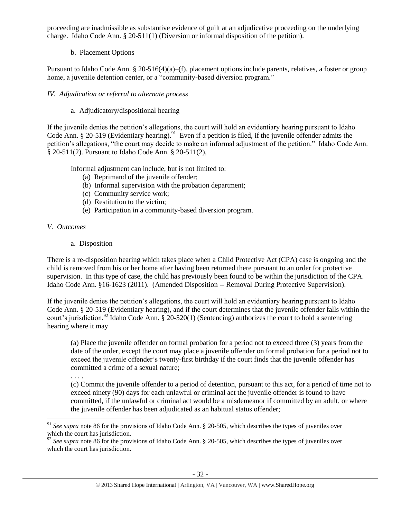proceeding are inadmissible as substantive evidence of guilt at an adjudicative proceeding on the underlying charge. Idaho Code Ann. § 20-511(1) (Diversion or informal disposition of the petition).

# b. Placement Options

Pursuant to Idaho Code Ann. § 20-516(4)(a)–(f), placement options include parents, relatives, a foster or group home, a juvenile detention center, or a "community-based diversion program."

# *IV. Adjudication or referral to alternate process*

# a. Adjudicatory/dispositional hearing

If the juvenile denies the petition's allegations, the court will hold an evidentiary hearing pursuant to Idaho Code Ann. § 20-519 (Evidentiary hearing).<sup>91</sup> Even if a petition is filed, if the juvenile offender admits the petition's allegations, "the court may decide to make an informal adjustment of the petition." Idaho Code Ann. § 20-511(2). Pursuant to Idaho Code Ann. § 20-511(2),

Informal adjustment can include, but is not limited to:

- (a) Reprimand of the juvenile offender;
- (b) Informal supervision with the probation department;
- (c) Community service work;
- (d) Restitution to the victim;
- (e) Participation in a community-based diversion program.

# *V. Outcomes*

. . . .

a. Disposition

There is a re-disposition hearing which takes place when a Child Protective Act (CPA) case is ongoing and the child is removed from his or her home after having been returned there pursuant to an order for protective supervision. In this type of case, the child has previously been found to be within the jurisdiction of the CPA. Idaho Code Ann. §16-1623 (2011). (Amended Disposition -- Removal During Protective Supervision).

If the juvenile denies the petition's allegations, the court will hold an evidentiary hearing pursuant to Idaho Code Ann. § 20-519 (Evidentiary hearing), and if the court determines that the juvenile offender falls within the court's jurisdiction, <sup>92</sup> Idaho Code Ann. § 20-520(1) (Sentencing) authorizes the court to hold a sentencing hearing where it may

(a) Place the juvenile offender on formal probation for a period not to exceed three (3) years from the date of the order, except the court may place a juvenile offender on formal probation for a period not to exceed the juvenile offender's twenty-first birthday if the court finds that the juvenile offender has committed a crime of a sexual nature;

(c) Commit the juvenile offender to a period of detention, pursuant to this act, for a period of time not to exceed ninety (90) days for each unlawful or criminal act the juvenile offender is found to have committed, if the unlawful or criminal act would be a misdemeanor if committed by an adult, or where the juvenile offender has been adjudicated as an habitual status offender;

 $\overline{a}$ <sup>91</sup> See supra note [86](#page-28-0) for the provisions of Idaho Code Ann. § 20-505, which describes the types of juveniles over which the court has jurisdiction.

<sup>&</sup>lt;sup>92</sup> See supra note [86](#page-28-0) for the provisions of Idaho Code Ann. § 20-505, which describes the types of juveniles over which the court has jurisdiction.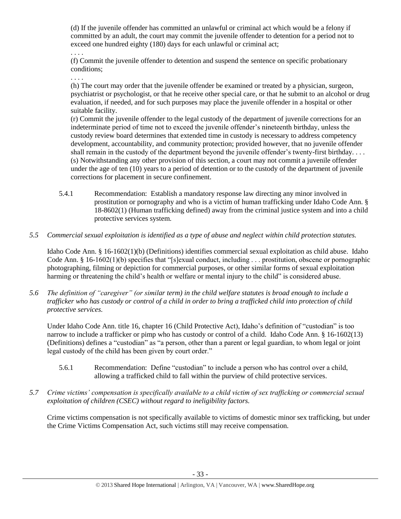(d) If the juvenile offender has committed an unlawful or criminal act which would be a felony if committed by an adult, the court may commit the juvenile offender to detention for a period not to exceed one hundred eighty (180) days for each unlawful or criminal act;

. . . .

(f) Commit the juvenile offender to detention and suspend the sentence on specific probationary conditions;

. . . .

(h) The court may order that the juvenile offender be examined or treated by a physician, surgeon, psychiatrist or psychologist, or that he receive other special care, or that he submit to an alcohol or drug evaluation, if needed, and for such purposes may place the juvenile offender in a hospital or other suitable facility.

(r) Commit the juvenile offender to the legal custody of the department of juvenile corrections for an indeterminate period of time not to exceed the juvenile offender's nineteenth birthday, unless the custody review board determines that extended time in custody is necessary to address competency development, accountability, and community protection; provided however, that no juvenile offender shall remain in the custody of the department beyond the juvenile offender's twenty-first birthday.... (s) Notwithstanding any other provision of this section, a court may not commit a juvenile offender under the age of ten (10) years to a period of detention or to the custody of the department of juvenile corrections for placement in secure confinement.

- 5.4.1 Recommendation: Establish a mandatory response law directing any minor involved in prostitution or pornography and who is a victim of human trafficking under Idaho Code Ann. § 18-8602(1) (Human trafficking defined) away from the criminal justice system and into a child protective services system.
- *5.5 Commercial sexual exploitation is identified as a type of abuse and neglect within child protection statutes.*

Idaho Code Ann. § 16-1602(1)(b) (Definitions) identifies commercial sexual exploitation as child abuse. Idaho Code Ann. § 16-1602(1)(b) specifies that "[s]exual conduct, including . . . prostitution, obscene or pornographic photographing, filming or depiction for commercial purposes, or other similar forms of sexual exploitation harming or threatening the child's health or welfare or mental injury to the child" is considered abuse.

*5.6 The definition of "caregiver" (or similar term) in the child welfare statutes is broad enough to include a trafficker who has custody or control of a child in order to bring a trafficked child into protection of child protective services.*

Under Idaho Code Ann. title 16, chapter 16 (Child Protective Act), Idaho's definition of "custodian" is too narrow to include a trafficker or pimp who has custody or control of a child. Idaho Code Ann. § 16-1602(13) (Definitions) defines a "custodian" as "a person, other than a parent or legal guardian, to whom legal or joint legal custody of the child has been given by court order."

- 5.6.1 Recommendation: Define "custodian" to include a person who has control over a child, allowing a trafficked child to fall within the purview of child protective services.
- *5.7 Crime victims' compensation is specifically available to a child victim of sex trafficking or commercial sexual exploitation of children (CSEC) without regard to ineligibility factors.*

Crime victims compensation is not specifically available to victims of domestic minor sex trafficking, but under the Crime Victims Compensation Act, such victims still may receive compensation.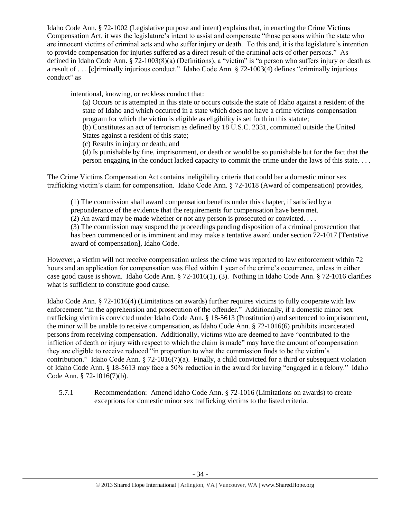Idaho Code Ann. § 72-1002 (Legislative purpose and intent) explains that, in enacting the Crime Victims Compensation Act, it was the legislature's intent to assist and compensate "those persons within the state who are innocent victims of criminal acts and who suffer injury or death. To this end, it is the legislature's intention to provide compensation for injuries suffered as a direct result of the criminal acts of other persons." As defined in Idaho Code Ann. § 72-1003(8)(a) (Definitions), a "victim" is "a person who suffers injury or death as a result of . . . [c]riminally injurious conduct." Idaho Code Ann. § 72-1003(4) defines "criminally injurious conduct" as

intentional, knowing, or reckless conduct that:

(a) Occurs or is attempted in this state or occurs outside the state of Idaho against a resident of the state of Idaho and which occurred in a state which does not have a crime victims compensation program for which the victim is eligible as eligibility is set forth in this statute;

(b) Constitutes an act of terrorism as defined by 18 U.S.C. 2331, committed outside the United States against a resident of this state;

(c) Results in injury or death; and

(d) Is punishable by fine, imprisonment, or death or would be so punishable but for the fact that the person engaging in the conduct lacked capacity to commit the crime under the laws of this state. . . .

The Crime Victims Compensation Act contains ineligibility criteria that could bar a domestic minor sex trafficking victim's claim for compensation. Idaho Code Ann. § 72-1018 (Award of compensation) provides,

(1) The commission shall award compensation benefits under this chapter, if satisfied by a preponderance of the evidence that the requirements for compensation have been met.

(2) An award may be made whether or not any person is prosecuted or convicted. . . .

(3) The commission may suspend the proceedings pending disposition of a criminal prosecution that has been commenced or is imminent and may make a tentative award under section 72-1017 [Tentative award of compensation], Idaho Code.

However, a victim will not receive compensation unless the crime was reported to law enforcement within 72 hours and an application for compensation was filed within 1 year of the crime's occurrence, unless in either case good cause is shown. Idaho Code Ann. § 72-1016(1), (3). Nothing in Idaho Code Ann. § 72-1016 clarifies what is sufficient to constitute good cause.

Idaho Code Ann. § 72-1016(4) (Limitations on awards) further requires victims to fully cooperate with law enforcement "in the apprehension and prosecution of the offender." Additionally, if a domestic minor sex trafficking victim is convicted under Idaho Code Ann. § 18-5613 (Prostitution) and sentenced to imprisonment, the minor will be unable to receive compensation, as Idaho Code Ann. § 72-1016(6) prohibits incarcerated persons from receiving compensation. Additionally, victims who are deemed to have "contributed to the infliction of death or injury with respect to which the claim is made" may have the amount of compensation they are eligible to receive reduced "in proportion to what the commission finds to be the victim's contribution." Idaho Code Ann.  $\S 72-1016(7)(a)$ . Finally, a child convicted for a third or subsequent violation of Idaho Code Ann. § 18-5613 may face a 50% reduction in the award for having "engaged in a felony." Idaho Code Ann. § 72-1016(7)(b).

5.7.1 Recommendation: Amend Idaho Code Ann. § 72-1016 (Limitations on awards) to create exceptions for domestic minor sex trafficking victims to the listed criteria.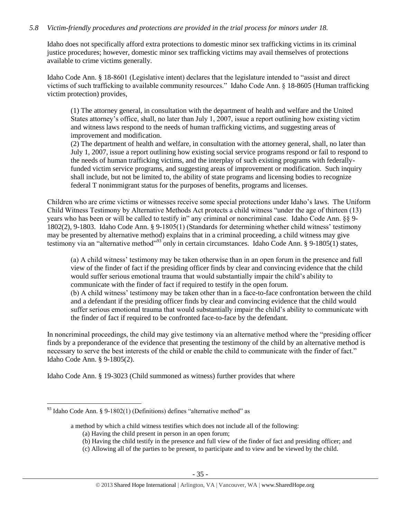# *5.8 Victim-friendly procedures and protections are provided in the trial process for minors under 18.*

Idaho does not specifically afford extra protections to domestic minor sex trafficking victims in its criminal justice procedures; however, domestic minor sex trafficking victims may avail themselves of protections available to crime victims generally.

Idaho Code Ann. § 18-8601 (Legislative intent) declares that the legislature intended to "assist and direct victims of such trafficking to available community resources." Idaho Code Ann. § 18-8605 (Human trafficking victim protection) provides,

(1) The attorney general, in consultation with the department of health and welfare and the United States attorney's office, shall, no later than July 1, 2007, issue a report outlining how existing victim and witness laws respond to the needs of human trafficking victims, and suggesting areas of improvement and modification.

(2) The department of health and welfare, in consultation with the attorney general, shall, no later than July 1, 2007, issue a report outlining how existing social service programs respond or fail to respond to the needs of human trafficking victims, and the interplay of such existing programs with federallyfunded victim service programs, and suggesting areas of improvement or modification. Such inquiry shall include, but not be limited to, the ability of state programs and licensing bodies to recognize federal T nonimmigrant status for the purposes of benefits, programs and licenses.

Children who are crime victims or witnesses receive some special protections under Idaho's laws. The Uniform Child Witness Testimony by Alternative Methods Act protects a child witness "under the age of thirteen (13) years who has been or will be called to testify in" any criminal or noncriminal case. Idaho Code Ann. §§ 9- 1802(2), 9-1803. Idaho Code Ann. § 9-1805(1) (Standards for determining whether child witness' testimony may be presented by alternative method) explains that in a criminal proceeding, a child witness may give testimony via an "alternative method"<sup>93</sup> only in certain circumstances. Idaho Code Ann. § 9-1805(1) states,

(a) A child witness' testimony may be taken otherwise than in an open forum in the presence and full view of the finder of fact if the presiding officer finds by clear and convincing evidence that the child would suffer serious emotional trauma that would substantially impair the child's ability to communicate with the finder of fact if required to testify in the open forum. (b) A child witness' testimony may be taken other than in a face-to-face confrontation between the child and a defendant if the presiding officer finds by clear and convincing evidence that the child would suffer serious emotional trauma that would substantially impair the child's ability to communicate with the finder of fact if required to be confronted face-to-face by the defendant.

In noncriminal proceedings, the child may give testimony via an alternative method where the "presiding officer finds by a preponderance of the evidence that presenting the testimony of the child by an alternative method is necessary to serve the best interests of the child or enable the child to communicate with the finder of fact." Idaho Code Ann. § 9-1805(2).

Idaho Code Ann. § 19-3023 (Child summoned as witness) further provides that where

 $\overline{\phantom{a}}$ 

 $93$  Idaho Code Ann. § 9-1802(1) (Definitions) defines "alternative method" as

a method by which a child witness testifies which does not include all of the following:

<sup>(</sup>a) Having the child present in person in an open forum;

<sup>(</sup>b) Having the child testify in the presence and full view of the finder of fact and presiding officer; and

<sup>(</sup>c) Allowing all of the parties to be present, to participate and to view and be viewed by the child.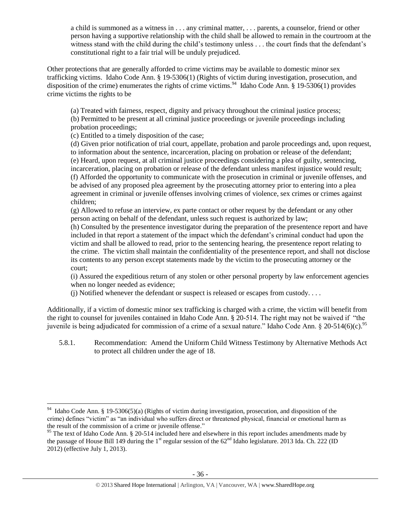a child is summoned as a witness in . . . any criminal matter, . . . parents, a counselor, friend or other person having a supportive relationship with the child shall be allowed to remain in the courtroom at the witness stand with the child during the child's testimony unless . . . the court finds that the defendant's constitutional right to a fair trial will be unduly prejudiced.

Other protections that are generally afforded to crime victims may be available to domestic minor sex trafficking victims. Idaho Code Ann. § 19-5306(1) (Rights of victim during investigation, prosecution, and disposition of the crime) enumerates the rights of crime victims.<sup>94</sup> Idaho Code Ann. § 19-5306(1) provides crime victims the rights to be

(a) Treated with fairness, respect, dignity and privacy throughout the criminal justice process; (b) Permitted to be present at all criminal justice proceedings or juvenile proceedings including probation proceedings;

(c) Entitled to a timely disposition of the case;

 $\overline{\phantom{a}}$ 

(d) Given prior notification of trial court, appellate, probation and parole proceedings and, upon request, to information about the sentence, incarceration, placing on probation or release of the defendant; (e) Heard, upon request, at all criminal justice proceedings considering a plea of guilty, sentencing, incarceration, placing on probation or release of the defendant unless manifest injustice would result; (f) Afforded the opportunity to communicate with the prosecution in criminal or juvenile offenses, and be advised of any proposed plea agreement by the prosecuting attorney prior to entering into a plea agreement in criminal or juvenile offenses involving crimes of violence, sex crimes or crimes against children;

(g) Allowed to refuse an interview, ex parte contact or other request by the defendant or any other person acting on behalf of the defendant, unless such request is authorized by law;

(h) Consulted by the presentence investigator during the preparation of the presentence report and have included in that report a statement of the impact which the defendant's criminal conduct had upon the victim and shall be allowed to read, prior to the sentencing hearing, the presentence report relating to the crime. The victim shall maintain the confidentiality of the presentence report, and shall not disclose its contents to any person except statements made by the victim to the prosecuting attorney or the court;

(i) Assured the expeditious return of any stolen or other personal property by law enforcement agencies when no longer needed as evidence;

 $(i)$  Notified whenever the defendant or suspect is released or escapes from custody. . . .

Additionally, if a victim of domestic minor sex trafficking is charged with a crime, the victim will benefit from the right to counsel for juveniles contained in Idaho Code Ann. § 20-514. The right may not be waived if "the juvenile is being adjudicated for commission of a crime of a sexual nature." Idaho Code Ann. § 20-514(6)(c).<sup>95</sup>

5.8.1. Recommendation: Amend the Uniform Child Witness Testimony by Alternative Methods Act to protect all children under the age of 18.

<sup>&</sup>lt;sup>94</sup> Idaho Code Ann. § 19-5306(5)(a) (Rights of victim during investigation, prosecution, and disposition of the crime) defines "victim" as "an individual who suffers direct or threatened physical, financial or emotional harm as the result of the commission of a crime or juvenile offense."

<sup>&</sup>lt;sup>95</sup> The text of Idaho Code Ann. § 20-514 included here and elsewhere in this report includes amendments made by the passage of House Bill 149 during the 1<sup>st</sup> regular session of the  $62<sup>nd</sup>$  Idaho legislature. 2013 Ida. Ch. 222 (ID 2012) (effective July 1, 2013).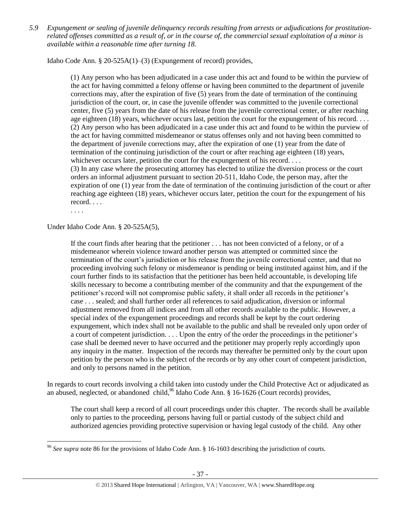*5.9 Expungement or sealing of juvenile delinquency records resulting from arrests or adjudications for prostitutionrelated offenses committed as a result of, or in the course of, the commercial sexual exploitation of a minor is available within a reasonable time after turning 18.*

Idaho Code Ann. § 20-525A(1)–(3) (Expungement of record) provides,

(1) Any person who has been adjudicated in a case under this act and found to be within the purview of the act for having committed a felony offense or having been committed to the department of juvenile corrections may, after the expiration of five (5) years from the date of termination of the continuing jurisdiction of the court, or, in case the juvenile offender was committed to the juvenile correctional center, five (5) years from the date of his release from the juvenile correctional center, or after reaching age eighteen (18) years, whichever occurs last, petition the court for the expungement of his record. . . . (2) Any person who has been adjudicated in a case under this act and found to be within the purview of the act for having committed misdemeanor or status offenses only and not having been committed to the department of juvenile corrections may, after the expiration of one (1) year from the date of termination of the continuing jurisdiction of the court or after reaching age eighteen (18) years, whichever occurs later, petition the court for the expungement of his record. . . . (3) In any case where the prosecuting attorney has elected to utilize the diversion process or the court orders an informal adjustment pursuant to section 20-511, Idaho Code, the person may, after the expiration of one (1) year from the date of termination of the continuing jurisdiction of the court or after reaching age eighteen (18) years, whichever occurs later, petition the court for the expungement of his record. . . .

. . . .

Under Idaho Code Ann. § 20-525A(5),

If the court finds after hearing that the petitioner . . . has not been convicted of a felony, or of a misdemeanor wherein violence toward another person was attempted or committed since the termination of the court's jurisdiction or his release from the juvenile correctional center, and that no proceeding involving such felony or misdemeanor is pending or being instituted against him, and if the court further finds to its satisfaction that the petitioner has been held accountable, is developing life skills necessary to become a contributing member of the community and that the expungement of the petitioner's record will not compromise public safety, it shall order all records in the petitioner's case . . . sealed; and shall further order all references to said adjudication, diversion or informal adjustment removed from all indices and from all other records available to the public. However, a special index of the expungement proceedings and records shall be kept by the court ordering expungement, which index shall not be available to the public and shall be revealed only upon order of a court of competent jurisdiction. . . . Upon the entry of the order the proceedings in the petitioner's case shall be deemed never to have occurred and the petitioner may properly reply accordingly upon any inquiry in the matter. Inspection of the records may thereafter be permitted only by the court upon petition by the person who is the subject of the records or by any other court of competent jurisdiction, and only to persons named in the petition.

In regards to court records involving a child taken into custody under the Child Protective Act or adjudicated as an abused, neglected, or abandoned child,  $96$  Idaho Code Ann. § 16-1626 (Court records) provides,

The court shall keep a record of all court proceedings under this chapter. The records shall be available only to parties to the proceeding, persons having full or partial custody of the subject child and authorized agencies providing protective supervision or having legal custody of the child. Any other

 $\overline{\phantom{a}}$ <sup>96</sup> *See supra* note [86](#page-28-0) for the provisions of Idaho Code Ann. § 16-1603 describing the jurisdiction of courts.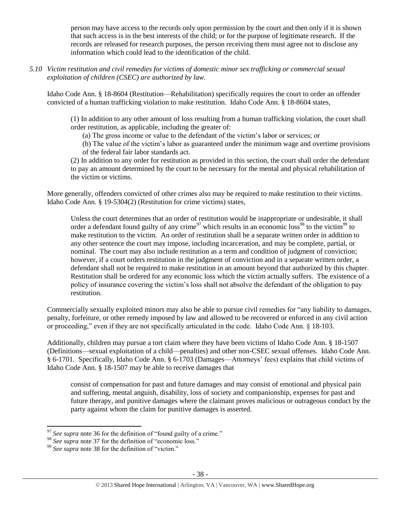person may have access to the records only upon permission by the court and then only if it is shown that such access is in the best interests of the child; or for the purpose of legitimate research. If the records are released for research purposes, the person receiving them must agree not to disclose any information which could lead to the identification of the child.

*5.10 Victim restitution and civil remedies for victims of domestic minor sex trafficking or commercial sexual exploitation of children (CSEC) are authorized by law.* 

Idaho Code Ann. § 18-8604 (Restitution—Rehabilitation) specifically requires the court to order an offender convicted of a human trafficking violation to make restitution. Idaho Code Ann. § 18-8604 states,

(1) In addition to any other amount of loss resulting from a human trafficking violation, the court shall order restitution, as applicable, including the greater of:

(a) The gross income or value to the defendant of the victim's labor or services; or

(b) The value of the victim's labor as guaranteed under the minimum wage and overtime provisions of the federal fair labor standards act.

(2) In addition to any order for restitution as provided in this section, the court shall order the defendant to pay an amount determined by the court to be necessary for the mental and physical rehabilitation of the victim or victims.

More generally, offenders convicted of other crimes also may be required to make restitution to their victims. Idaho Code Ann. § 19-5304(2) (Restitution for crime victims) states,

Unless the court determines that an order of restitution would be inappropriate or undesirable, it shall order a defendant found guilty of any crime<sup>97</sup> which results in an economic loss<sup>98</sup> to the victim<sup>99</sup> to make restitution to the victim. An order of restitution shall be a separate written order in addition to any other sentence the court may impose, including incarceration, and may be complete, partial, or nominal. The court may also include restitution as a term and condition of judgment of conviction; however, if a court orders restitution in the judgment of conviction and in a separate written order, a defendant shall not be required to make restitution in an amount beyond that authorized by this chapter. Restitution shall be ordered for any economic loss which the victim actually suffers. The existence of a policy of insurance covering the victim's loss shall not absolve the defendant of the obligation to pay restitution.

Commercially sexually exploited minors may also be able to pursue civil remedies for "any liability to damages, penalty, forfeiture, or other remedy imposed by law and allowed to be recovered or enforced in any civil action or proceeding," even if they are not specifically articulated in the code. Idaho Code Ann. § 18-103.

Additionally, children may pursue a tort claim where they have been victims of Idaho Code Ann. § 18-1507 (Definitions—sexual exploitation of a child—penalties) and other non-CSEC sexual offenses. Idaho Code Ann. § 6-1701. Specifically, Idaho Code Ann. § 6-1703 (Damages—Attorneys' fees) explains that child victims of Idaho Code Ann. § 18-1507 may be able to receive damages that

consist of compensation for past and future damages and may consist of emotional and physical pain and suffering, mental anguish, disability, loss of society and companionship, expenses for past and future therapy, and punitive damages where the claimant proves malicious or outrageous conduct by the party against whom the claim for punitive damages is asserted.

l <sup>97</sup> See supra note [36](#page-11-1) for the definition of "found guilty of a crime."

<sup>&</sup>lt;sup>98</sup> *See supra* note [37](#page-11-0) for the definition of "economic loss."

<sup>&</sup>lt;sup>99</sup> See supra note [38](#page-11-2) for the definition of "victim."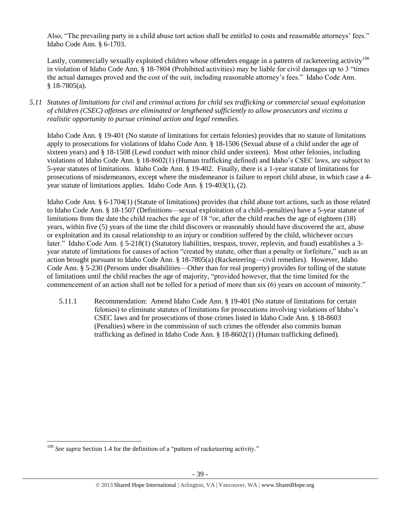Also, "The prevailing party in a child abuse tort action shall be entitled to costs and reasonable attorneys' fees." Idaho Code Ann. § 6-1703.

Lastly, commercially sexually exploited children whose offenders engage in a pattern of racketeering activity<sup>100</sup> in violation of Idaho Code Ann. § 18-7804 (Prohibited activities) may be liable for civil damages up to 3 "times the actual damages proved and the cost of the suit, including reasonable attorney's fees." Idaho Code Ann.  $§$  18-7805(a).

*5.11 Statutes of limitations for civil and criminal actions for child sex trafficking or commercial sexual exploitation of children (CSEC) offenses are eliminated or lengthened sufficiently to allow prosecutors and victims a realistic opportunity to pursue criminal action and legal remedies.*

Idaho Code Ann. § 19-401 (No statute of limitations for certain felonies) provides that no statute of limitations apply to prosecutions for violations of Idaho Code Ann. § 18-1506 (Sexual abuse of a child under the age of sixteen years) and § 18-1508 (Lewd conduct with minor child under sixteen). Most other felonies, including violations of Idaho Code Ann. § 18-8602(1) (Human trafficking defined) and Idaho's CSEC laws, are subject to 5-year statutes of limitations. Idaho Code Ann. § 19-402. Finally, there is a 1-year statute of limitations for prosecutions of misdemeanors, except where the misdemeanor is failure to report child abuse, in which case a 4 year statute of limitations applies. Idaho Code Ann. § 19-403(1), (2).

Idaho Code Ann. § 6-1704(1) (Statute of limitations) provides that child abuse tort actions, such as those related to Idaho Code Ann. § 18-1507 (Definitions—sexual exploitation of a child--penalties) have a 5-year statute of limitations from the date the child reaches the age of 18 "or, after the child reaches the age of eighteen (18) years, within five (5) years of the time the child discovers or reasonably should have discovered the act, abuse or exploitation and its causal relationship to an injury or condition suffered by the child, whichever occurs later." Idaho Code Ann. § 5-218(1) (Statutory liabilities, trespass, trover, replevin, and fraud) establishes a 3year statute of limitations for causes of action "created by statute, other than a penalty or forfeiture," such as an action brought pursuant to Idaho Code Ann. § 18-7805(a) (Racketeering—civil remedies). However, Idaho Code Ann. § 5-230 (Persons under disabilities—Other than for real property) provides for tolling of the statute of limitations until the child reaches the age of majority, "provided however, that the time limited for the commencement of an action shall not be tolled for a period of more than six (6) years on account of minority."

5.11.1 Recommendation: Amend Idaho Code Ann. § 19-401 (No statute of limitations for certain felonies) to eliminate statutes of limitations for prosecutions involving violations of Idaho's CSEC laws and for prosecutions of those crimes listed in Idaho Code Ann. § 18-8603 (Penalties) where in the commission of such crimes the offender also commits human trafficking as defined in Idaho Code Ann. § 18-8602(1) (Human trafficking defined).

 $\overline{\phantom{a}}$ <sup>100</sup> See supra Section 1.4 for the definition of a "pattern of racketeering activity."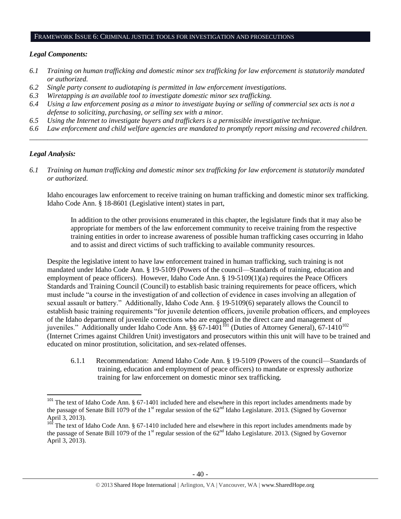#### FRAMEWORK ISSUE 6: CRIMINAL JUSTICE TOOLS FOR INVESTIGATION AND PROSECUTIONS

#### *Legal Components:*

- *6.1 Training on human trafficking and domestic minor sex trafficking for law enforcement is statutorily mandated or authorized.*
- *6.2 Single party consent to audiotaping is permitted in law enforcement investigations.*
- *6.3 Wiretapping is an available tool to investigate domestic minor sex trafficking.*
- *6.4 Using a law enforcement posing as a minor to investigate buying or selling of commercial sex acts is not a defense to soliciting, purchasing, or selling sex with a minor.*
- *6.5 Using the Internet to investigate buyers and traffickers is a permissible investigative technique.*
- *6.6 Law enforcement and child welfare agencies are mandated to promptly report missing and recovered children. \_\_\_\_\_\_\_\_\_\_\_\_\_\_\_\_\_\_\_\_\_\_\_\_\_\_\_\_\_\_\_\_\_\_\_\_\_\_\_\_\_\_\_\_\_\_\_\_\_\_\_\_\_\_\_\_\_\_\_\_\_\_\_\_\_\_\_\_\_\_\_\_\_\_\_\_\_\_\_\_\_\_\_\_\_\_\_\_\_\_\_\_\_\_*

### *Legal Analysis:*

 $\overline{a}$ 

*6.1 Training on human trafficking and domestic minor sex trafficking for law enforcement is statutorily mandated or authorized.*

Idaho encourages law enforcement to receive training on human trafficking and domestic minor sex trafficking. Idaho Code Ann. § 18-8601 (Legislative intent) states in part,

In addition to the other provisions enumerated in this chapter, the legislature finds that it may also be appropriate for members of the law enforcement community to receive training from the respective training entities in order to increase awareness of possible human trafficking cases occurring in Idaho and to assist and direct victims of such trafficking to available community resources.

Despite the legislative intent to have law enforcement trained in human trafficking, such training is not mandated under Idaho Code Ann. § 19-5109 (Powers of the council—Standards of training, education and employment of peace officers). However, Idaho Code Ann. § 19-5109(1)(a) requires the Peace Officers Standards and Training Council (Council) to establish basic training requirements for peace officers, which must include "a course in the investigation of and collection of evidence in cases involving an allegation of sexual assault or battery." Additionally, Idaho Code Ann. § 19-5109(6) separately allows the Council to establish basic training requirements "for juvenile detention officers, juvenile probation officers, and employees of the Idaho department of juvenile corrections who are engaged in the direct care and management of juveniles." Additionally under Idaho Code Ann. §§ 67-1401<sup>161</sup> (Duties of Attorney General), 67-1410<sup>102</sup> (Internet Crimes against Children Unit) investigators and prosecutors within this unit will have to be trained and educated on minor prostitution, solicitation, and sex-related offenses.

6.1.1 Recommendation: Amend Idaho Code Ann. § 19-5109 (Powers of the council—Standards of training, education and employment of peace officers) to mandate or expressly authorize training for law enforcement on domestic minor sex trafficking.

 $101$  The text of Idaho Code Ann. § 67-1401 included here and elsewhere in this report includes amendments made by the passage of Senate Bill 1079 of the  $1<sup>st</sup>$  regular session of the  $62<sup>nd</sup>$  Idaho Legislature. 2013. (Signed by Governor April 3, 2013).

 $102$  The text of Idaho Code Ann. § 67-1410 included here and elsewhere in this report includes amendments made by the passage of Senate Bill 1079 of the 1<sup>st</sup> regular session of the  $62<sup>nd</sup>$  Idaho Legislature. 2013. (Signed by Governor April 3, 2013).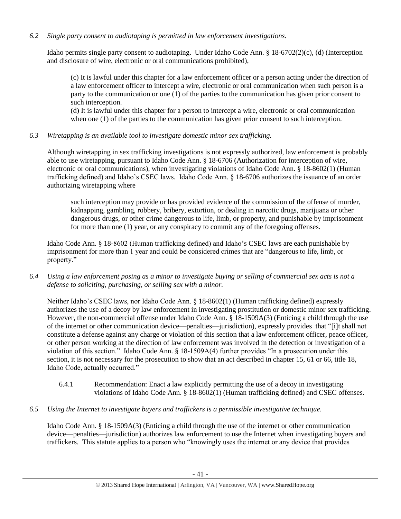# *6.2 Single party consent to audiotaping is permitted in law enforcement investigations.*

Idaho permits single party consent to audiotaping. Under Idaho Code Ann. § 18-6702(2)(c), (d) (Interception and disclosure of wire, electronic or oral communications prohibited),

(c) It is lawful under this chapter for a law enforcement officer or a person acting under the direction of a law enforcement officer to intercept a wire, electronic or oral communication when such person is a party to the communication or one (1) of the parties to the communication has given prior consent to such interception.

(d) It is lawful under this chapter for a person to intercept a wire, electronic or oral communication when one (1) of the parties to the communication has given prior consent to such interception.

*6.3 Wiretapping is an available tool to investigate domestic minor sex trafficking.* 

Although wiretapping in sex trafficking investigations is not expressly authorized, law enforcement is probably able to use wiretapping, pursuant to Idaho Code Ann. § 18-6706 (Authorization for interception of wire, electronic or oral communications), when investigating violations of Idaho Code Ann. § 18-8602(1) (Human trafficking defined) and Idaho's CSEC laws. Idaho Code Ann. § 18-6706 authorizes the issuance of an order authorizing wiretapping where

such interception may provide or has provided evidence of the commission of the offense of murder, kidnapping, gambling, robbery, bribery, extortion, or dealing in narcotic drugs, marijuana or other dangerous drugs, or other crime dangerous to life, limb, or property, and punishable by imprisonment for more than one (1) year, or any conspiracy to commit any of the foregoing offenses.

Idaho Code Ann. § 18-8602 (Human trafficking defined) and Idaho's CSEC laws are each punishable by imprisonment for more than 1 year and could be considered crimes that are "dangerous to life, limb, or property."

*6.4 Using a law enforcement posing as a minor to investigate buying or selling of commercial sex acts is not a defense to soliciting, purchasing, or selling sex with a minor.*

Neither Idaho's CSEC laws, nor Idaho Code Ann. § 18-8602(1) (Human trafficking defined) expressly authorizes the use of a decoy by law enforcement in investigating prostitution or domestic minor sex trafficking. However, the non-commercial offense under Idaho Code Ann. § 18-1509A(3) (Enticing a child through the use of the internet or other communication device—penalties—jurisdiction), expressly provides that "[i]t shall not constitute a defense against any charge or violation of this section that a law enforcement officer, peace officer, or other person working at the direction of law enforcement was involved in the detection or investigation of a violation of this section." Idaho Code Ann. § 18-1509A(4) further provides "In a prosecution under this section, it is not necessary for the prosecution to show that an act described in chapter 15, 61 or 66, title 18, Idaho Code, actually occurred."

- 6.4.1 Recommendation: Enact a law explicitly permitting the use of a decoy in investigating violations of Idaho Code Ann. § 18-8602(1) (Human trafficking defined) and CSEC offenses.
- *6.5 Using the Internet to investigate buyers and traffickers is a permissible investigative technique.*

Idaho Code Ann. § 18-1509A(3) (Enticing a child through the use of the internet or other communication device—penalties—jurisdiction) authorizes law enforcement to use the Internet when investigating buyers and traffickers. This statute applies to a person who "knowingly uses the internet or any device that provides